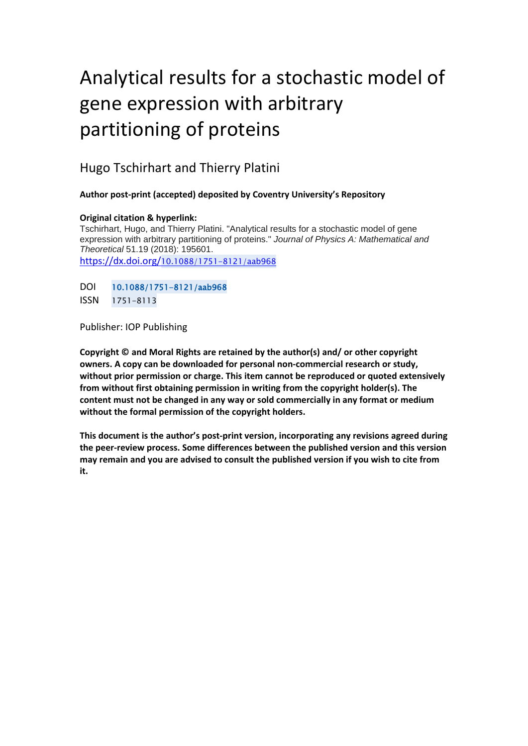# Analytical results for a stochastic model of gene expression with arbitrary partitioning of proteins

### Hugo Tschirhart and Thierry Platini

#### **Author post-print (accepted) deposited by Coventry University's Repository**

#### **Original citation & hyperlink:**

Tschirhart, Hugo, and Thierry Platini. "Analytical results for a stochastic model of gene expression with arbitrary partitioning of proteins." *Journal of Physics A: Mathematical and Theoretical* 51.19 (2018): 195601. https://dx.doi.org/[10.1088/1751-8121/aab968](https://dx.doi.org/10.1088/1751-8121/aab968) 

DOI 10.1088/1751-8121/aab968 ISSN 1751-8113

Publisher: IOP Publishing

**Copyright © and Moral Rights are retained by the author(s) and/ or other copyright owners. A copy can be downloaded for personal non-commercial research or study, without prior permission or charge. This item cannot be reproduced or quoted extensively from without first obtaining permission in writing from the copyright holder(s). The content must not be changed in any way or sold commercially in any format or medium without the formal permission of the copyright holders.** 

**This document is the author's post-print version, incorporating any revisions agreed during the peer-review process. Some differences between the published version and this version may remain and you are advised to consult the published version if you wish to cite from it.**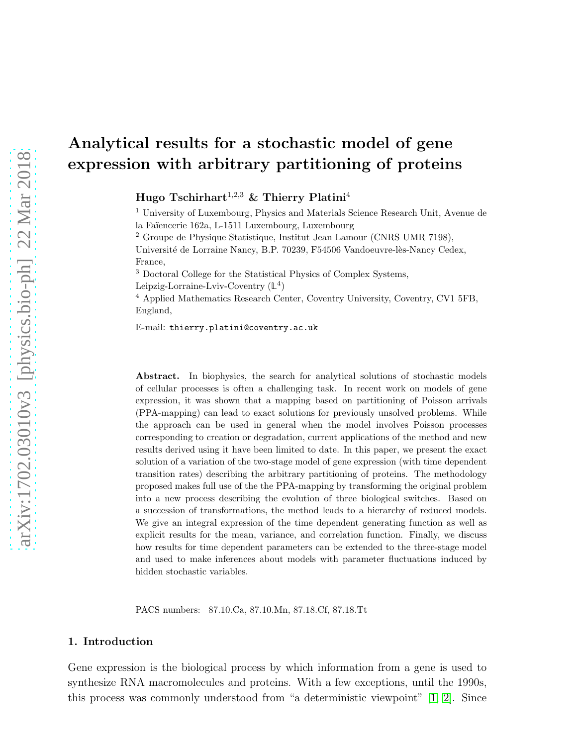# Analytical results for a stochastic model of gene expression with arbitrary partitioning of proteins

Hugo Tschirhart<sup>1,2,3</sup> & Thierry Platini<sup>4</sup>

<sup>1</sup> University of Luxembourg, Physics and Materials Science Research Unit, Avenue de la Fa¨ıencerie 162a, L-1511 Luxembourg, Luxembourg <sup>2</sup> Groupe de Physique Statistique, Institut Jean Lamour (CNRS UMR 7198),

Université de Lorraine Nancy, B.P. 70239, F54506 Vandoeuvre-lès-Nancy Cedex, France,

<sup>3</sup> Doctoral College for the Statistical Physics of Complex Systems, Leipzig-Lorraine-Lviv-Coventry (**L** 4 )

<sup>4</sup> Applied Mathematics Research Center, Coventry University, Coventry, CV1 5FB, England,

E-mail: thierry.platini@coventry.ac.uk

Abstract. In biophysics, the search for analytical solutions of stochastic models of cellular processes is often a challenging task. In recent work on models of gene expression, it was shown that a mapping based on partitioning of Poisson arrivals (PPA-mapping) can lead to exact solutions for previously unsolved problems. While the approach can be used in general when the model involves Poisson processes corresponding to creation or degradation, current applications of the method and new results derived using it have been limited to date. In this paper, we present the exact solution of a variation of the two-stage model of gene expression (with time dependent transition rates) describing the arbitrary partitioning of proteins. The methodology proposed makes full use of the the PPA-mapping by transforming the original problem into a new process describing the evolution of three biological switches. Based on a succession of transformations, the method leads to a hierarchy of reduced models. We give an integral expression of the time dependent generating function as well as explicit results for the mean, variance, and correlation function. Finally, we discuss how results for time dependent parameters can be extended to the three-stage model and used to make inferences about models with parameter fluctuations induced by hidden stochastic variables.

PACS numbers: 87.10.Ca, 87.10.Mn, 87.18.Cf, 87.18.Tt

#### 1. Introduction

Gene expression is the biological process by which information from a gene is used to synthesize RNA macromolecules and proteins. With a few exceptions, until the 1990s, this process was commonly understood from "a deterministic viewpoint" [\[1,](#page-28-0) [2\]](#page-28-1). Since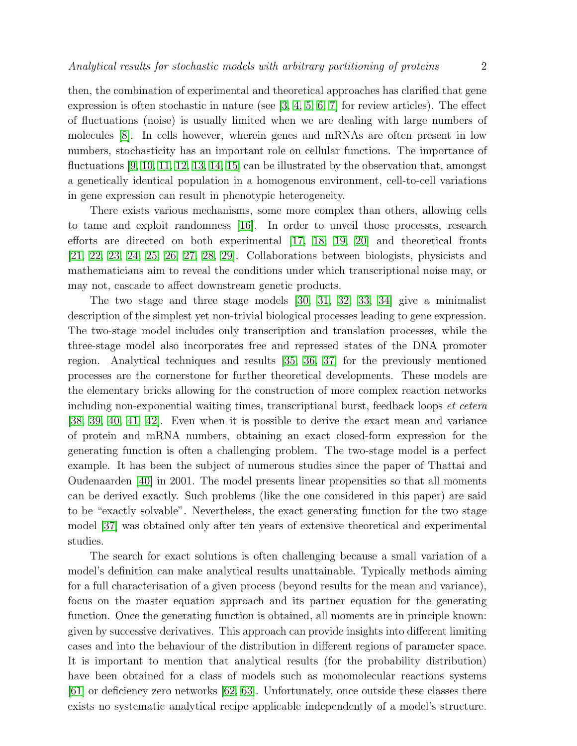then, the combination of experimental and theoretical approaches has clarified that gene expression is often stochastic in nature (see  $[3, 4, 5, 6, 7]$  $[3, 4, 5, 6, 7]$  $[3, 4, 5, 6, 7]$  $[3, 4, 5, 6, 7]$  $[3, 4, 5, 6, 7]$  for review articles). The effect of fluctuations (noise) is usually limited when we are dealing with large numbers of molecules [\[8\]](#page-28-7). In cells however, wherein genes and mRNAs are often present in low numbers, stochasticity has an important role on cellular functions. The importance of fluctuations [\[9,](#page-28-8) [10,](#page-28-9) [11,](#page-28-10) [12,](#page-28-11) [13,](#page-28-12) [14,](#page-28-13) [15\]](#page-28-14) can be illustrated by the observation that, amongst a genetically identical population in a homogenous environment, cell-to-cell variations in gene expression can result in phenotypic heterogeneity.

There exists various mechanisms, some more complex than others, allowing cells to tame and exploit randomness [\[16\]](#page-28-15). In order to unveil those processes, research efforts are directed on both experimental [\[17,](#page-28-16) [18,](#page-29-0) [19,](#page-29-1) [20\]](#page-29-2) and theoretical fronts [\[21,](#page-29-3) [22,](#page-29-4) [23,](#page-29-5) [24,](#page-29-6) [25,](#page-29-7) [26,](#page-29-8) [27,](#page-29-9) [28,](#page-29-10) [29\]](#page-29-11). Collaborations between biologists, physicists and mathematicians aim to reveal the conditions under which transcriptional noise may, or may not, cascade to affect downstream genetic products.

The two stage and three stage models [\[30,](#page-29-12) [31,](#page-29-13) [32,](#page-29-14) [33,](#page-29-15) [34\]](#page-29-16) give a minimalist description of the simplest yet non-trivial biological processes leading to gene expression. The two-stage model includes only transcription and translation processes, while the three-stage model also incorporates free and repressed states of the DNA promoter region. Analytical techniques and results [\[35,](#page-29-17) [36,](#page-29-18) [37\]](#page-29-19) for the previously mentioned processes are the cornerstone for further theoretical developments. These models are the elementary bricks allowing for the construction of more complex reaction networks including non-exponential waiting times, transcriptional burst, feedback loops *et cetera* [\[38,](#page-29-20) [39,](#page-29-21) [40,](#page-29-22) [41,](#page-29-23) [42\]](#page-29-24). Even when it is possible to derive the exact mean and variance of protein and mRNA numbers, obtaining an exact closed-form expression for the generating function is often a challenging problem. The two-stage model is a perfect example. It has been the subject of numerous studies since the paper of Thattai and Oudenaarden [\[40\]](#page-29-22) in 2001. The model presents linear propensities so that all moments can be derived exactly. Such problems (like the one considered in this paper) are said to be "exactly solvable". Nevertheless, the exact generating function for the two stage model [\[37\]](#page-29-19) was obtained only after ten years of extensive theoretical and experimental studies.

The search for exact solutions is often challenging because a small variation of a model's definition can make analytical results unattainable. Typically methods aiming for a full characterisation of a given process (beyond results for the mean and variance), focus on the master equation approach and its partner equation for the generating function. Once the generating function is obtained, all moments are in principle known: given by successive derivatives. This approach can provide insights into different limiting cases and into the behaviour of the distribution in different regions of parameter space. It is important to mention that analytical results (for the probability distribution) have been obtained for a class of models such as monomolecular reactions systems [\[61\]](#page-30-0) or deficiency zero networks [\[62,](#page-30-1) [63\]](#page-30-2). Unfortunately, once outside these classes there exists no systematic analytical recipe applicable independently of a model's structure.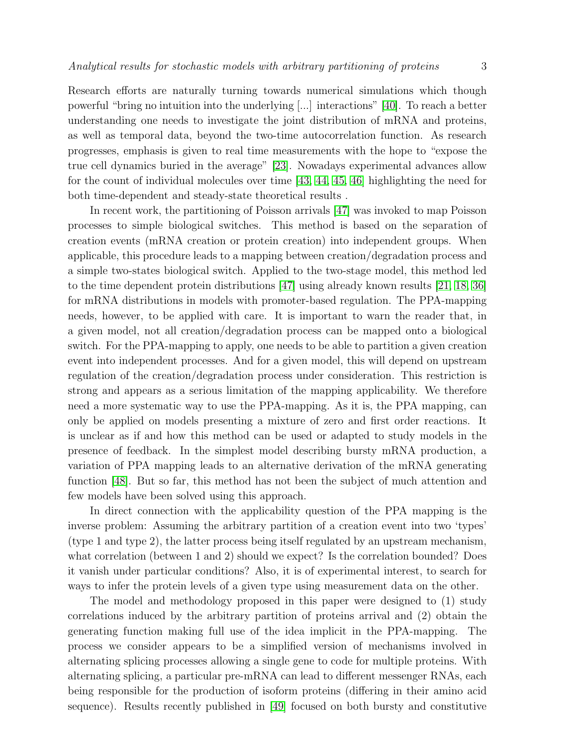Research efforts are naturally turning towards numerical simulations which though powerful "bring no intuition into the underlying [...] interactions" [\[40\]](#page-29-22). To reach a better understanding one needs to investigate the joint distribution of mRNA and proteins, as well as temporal data, beyond the two-time autocorrelation function. As research progresses, emphasis is given to real time measurements with the hope to "expose the true cell dynamics buried in the average" [\[23\]](#page-29-5). Nowadays experimental advances allow for the count of individual molecules over time [\[43,](#page-29-25) [44,](#page-30-3) [45,](#page-30-4) [46\]](#page-30-5) highlighting the need for both time-dependent and steady-state theoretical results .

In recent work, the partitioning of Poisson arrivals [\[47\]](#page-30-6) was invoked to map Poisson processes to simple biological switches. This method is based on the separation of creation events (mRNA creation or protein creation) into independent groups. When applicable, this procedure leads to a mapping between creation/degradation process and a simple two-states biological switch. Applied to the two-stage model, this method led to the time dependent protein distributions [\[47\]](#page-30-6) using already known results [\[21,](#page-29-3) [18,](#page-29-0) [36\]](#page-29-18) for mRNA distributions in models with promoter-based regulation. The PPA-mapping needs, however, to be applied with care. It is important to warn the reader that, in a given model, not all creation/degradation process can be mapped onto a biological switch. For the PPA-mapping to apply, one needs to be able to partition a given creation event into independent processes. And for a given model, this will depend on upstream regulation of the creation/degradation process under consideration. This restriction is strong and appears as a serious limitation of the mapping applicability. We therefore need a more systematic way to use the PPA-mapping. As it is, the PPA mapping, can only be applied on models presenting a mixture of zero and first order reactions. It is unclear as if and how this method can be used or adapted to study models in the presence of feedback. In the simplest model describing bursty mRNA production, a variation of PPA mapping leads to an alternative derivation of the mRNA generating function [\[48\]](#page-30-7). But so far, this method has not been the subject of much attention and few models have been solved using this approach.

In direct connection with the applicability question of the PPA mapping is the inverse problem: Assuming the arbitrary partition of a creation event into two 'types' (type 1 and type 2), the latter process being itself regulated by an upstream mechanism, what correlation (between 1 and 2) should we expect? Is the correlation bounded? Does it vanish under particular conditions? Also, it is of experimental interest, to search for ways to infer the protein levels of a given type using measurement data on the other.

The model and methodology proposed in this paper were designed to (1) study correlations induced by the arbitrary partition of proteins arrival and (2) obtain the generating function making full use of the idea implicit in the PPA-mapping. The process we consider appears to be a simplified version of mechanisms involved in alternating splicing processes allowing a single gene to code for multiple proteins. With alternating splicing, a particular pre-mRNA can lead to different messenger RNAs, each being responsible for the production of isoform proteins (differing in their amino acid sequence). Results recently published in [\[49\]](#page-30-8) focused on both bursty and constitutive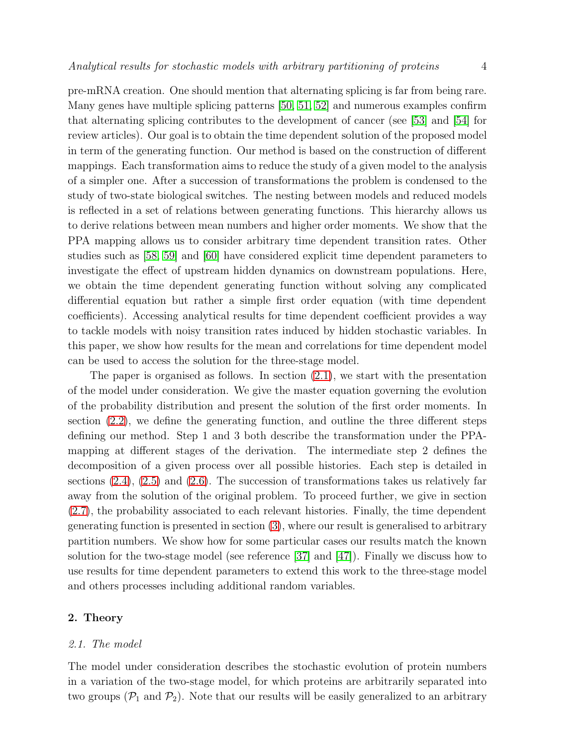pre-mRNA creation. One should mention that alternating splicing is far from being rare. Many genes have multiple splicing patterns [\[50,](#page-30-9) [51,](#page-30-10) [52\]](#page-30-11) and numerous examples confirm that alternating splicing contributes to the development of cancer (see [\[53\]](#page-30-12) and [\[54\]](#page-30-13) for review articles). Our goal is to obtain the time dependent solution of the proposed model in term of the generating function. Our method is based on the construction of different mappings. Each transformation aims to reduce the study of a given model to the analysis of a simpler one. After a succession of transformations the problem is condensed to the study of two-state biological switches. The nesting between models and reduced models is reflected in a set of relations between generating functions. This hierarchy allows us to derive relations between mean numbers and higher order moments. We show that the PPA mapping allows us to consider arbitrary time dependent transition rates. Other studies such as [\[58,](#page-30-14) [59\]](#page-30-15) and [\[60\]](#page-30-16) have considered explicit time dependent parameters to investigate the effect of upstream hidden dynamics on downstream populations. Here, we obtain the time dependent generating function without solving any complicated differential equation but rather a simple first order equation (with time dependent coefficients). Accessing analytical results for time dependent coefficient provides a way to tackle models with noisy transition rates induced by hidden stochastic variables. In this paper, we show how results for the mean and correlations for time dependent model can be used to access the solution for the three-stage model.

The paper is organised as follows. In section  $(2.1)$ , we start with the presentation of the model under consideration. We give the master equation governing the evolution of the probability distribution and present the solution of the first order moments. In section [\(2.2\)](#page-7-0), we define the generating function, and outline the three different steps defining our method. Step 1 and 3 both describe the transformation under the PPAmapping at different stages of the derivation. The intermediate step 2 defines the decomposition of a given process over all possible histories. Each step is detailed in sections [\(2.4\)](#page-10-0), [\(2.5\)](#page-11-0) and [\(2.6\)](#page-12-0). The succession of transformations takes us relatively far away from the solution of the original problem. To proceed further, we give in section [\(2.7\)](#page-13-0), the probability associated to each relevant histories. Finally, the time dependent generating function is presented in section [\(3\)](#page-15-0), where our result is generalised to arbitrary partition numbers. We show how for some particular cases our results match the known solution for the two-stage model (see reference [\[37\]](#page-29-19) and [\[47\]](#page-30-6)). Finally we discuss how to use results for time dependent parameters to extend this work to the three-stage model and others processes including additional random variables.

#### <span id="page-4-0"></span>2. Theory

#### *2.1. The model*

The model under consideration describes the stochastic evolution of protein numbers in a variation of the two-stage model, for which proteins are arbitrarily separated into two groups  $(\mathcal{P}_1$  and  $\mathcal{P}_2)$ . Note that our results will be easily generalized to an arbitrary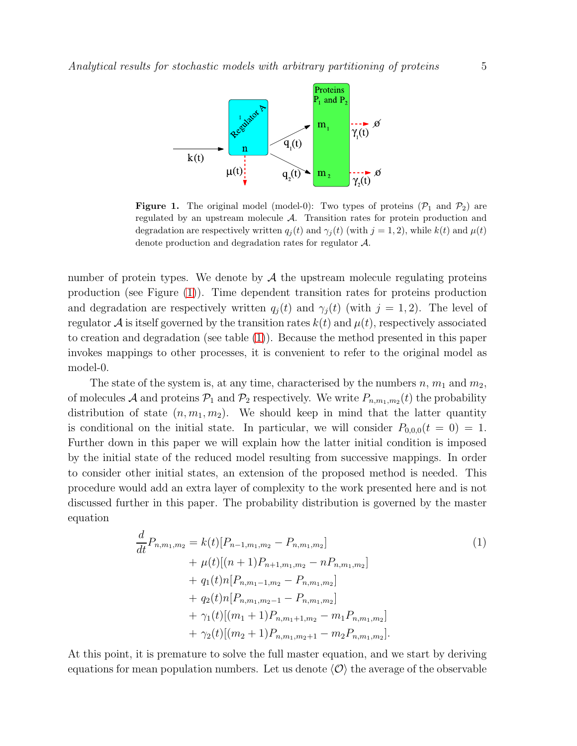

<span id="page-5-0"></span>**Figure 1.** The original model (model-0): Two types of proteins  $(\mathcal{P}_1$  and  $\mathcal{P}_2)$  are regulated by an upstream molecule A. Transition rates for protein production and degradation are respectively written  $q_i(t)$  and  $\gamma_i(t)$  (with  $j = 1, 2$ ), while  $k(t)$  and  $\mu(t)$ denote production and degradation rates for regulator A.

number of protein types. We denote by  $A$  the upstream molecule regulating proteins production (see Figure [\(1\)](#page-5-0)). Time dependent transition rates for proteins production and degradation are respectively written  $q_i(t)$  and  $\gamma_i(t)$  (with  $j = 1, 2$ ). The level of regulator A is itself governed by the transition rates  $k(t)$  and  $\mu(t)$ , respectively associated to creation and degradation (see table [\(1\)](#page-7-1)). Because the method presented in this paper invokes mappings to other processes, it is convenient to refer to the original model as model-0.

The state of the system is, at any time, characterised by the numbers  $n, m_1$  and  $m_2$ , of molecules A and proteins  $P_1$  and  $P_2$  respectively. We write  $P_{n,m_1,m_2}(t)$  the probability distribution of state  $(n, m_1, m_2)$ . We should keep in mind that the latter quantity is conditional on the initial state. In particular, we will consider  $P_{0,0,0}(t = 0) = 1$ . Further down in this paper we will explain how the latter initial condition is imposed by the initial state of the reduced model resulting from successive mappings. In order to consider other initial states, an extension of the proposed method is needed. This procedure would add an extra layer of complexity to the work presented here and is not discussed further in this paper. The probability distribution is governed by the master equation

<span id="page-5-1"></span>
$$
\frac{d}{dt}P_{n,m_1,m_2} = k(t)[P_{n-1,m_1,m_2} - P_{n,m_1,m_2}]
$$
\n
$$
+ \mu(t)[(n+1)P_{n+1,m_1,m_2} - nP_{n,m_1,m_2}]
$$
\n
$$
+ q_1(t)n[P_{n,m_1-1,m_2} - P_{n,m_1,m_2}]
$$
\n
$$
+ q_2(t)n[P_{n,m_1,m_2-1} - P_{n,m_1,m_2}]
$$
\n
$$
+ \gamma_1(t)[(m_1+1)P_{n,m_1+1,m_2} - m_1P_{n,m_1,m_2}]
$$
\n
$$
+ \gamma_2(t)[(m_2+1)P_{n,m_1,m_2+1} - m_2P_{n,m_1,m_2}].
$$
\n(1)

At this point, it is premature to solve the full master equation, and we start by deriving equations for mean population numbers. Let us denote  $\langle \mathcal{O} \rangle$  the average of the observable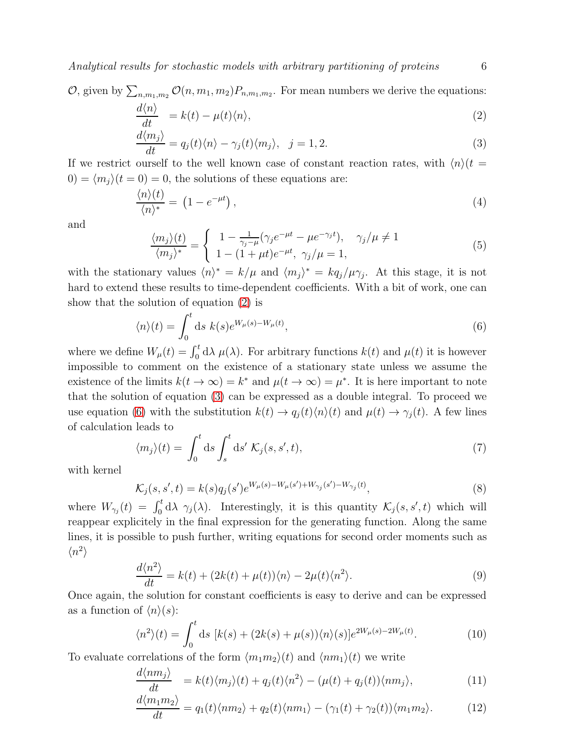*Analytical results for stochastic models with arbitrary partitioning of proteins* 6

$$
O, \text{ given by } \sum_{n,m_1,m_2} O(n, m_1, m_2) P_{n,m_1,m_2}. \text{ For mean numbers we derive the equations:}
$$
  

$$
d\langle n \rangle
$$

<span id="page-6-0"></span>
$$
\frac{d\mathcal{L}(\mathcal{U})}{dt} = k(t) - \mu(t)\langle n \rangle, \tag{2}
$$

$$
\frac{d\langle m_j \rangle}{dt} = q_j(t)\langle n \rangle - \gamma_j(t)\langle m_j \rangle, \quad j = 1, 2. \tag{3}
$$

If we restrict ourself to the well known case of constant reaction rates, with  $\langle n \rangle (t =$  $(0) = \langle m_i \rangle (t = 0) = 0$ , the solutions of these equations are:

$$
\frac{\langle n \rangle(t)}{\langle n \rangle^*} = \left(1 - e^{-\mu t}\right),\tag{4}
$$

and

<span id="page-6-3"></span>
$$
\frac{\langle m_j \rangle(t)}{\langle m_j \rangle^*} = \begin{cases} 1 - \frac{1}{\gamma_j - \mu} (\gamma_j e^{-\mu t} - \mu e^{-\gamma_j t}), & \gamma_j / \mu \neq 1 \\ 1 - (1 + \mu t) e^{-\mu t}, & \gamma_j / \mu = 1, \end{cases}
$$
(5)

with the stationary values  $\langle n \rangle^* = k/\mu$  and  $\langle m_j \rangle^* = kq_j/\mu \gamma_j$ . At this stage, it is not hard to extend these results to time-dependent coefficients. With a bit of work, one can show that the solution of equation [\(2\)](#page-6-0) is

<span id="page-6-1"></span>
$$
\langle n \rangle(t) = \int_0^t \mathrm{d}s \; k(s)e^{W_\mu(s) - W_\mu(t)},\tag{6}
$$

where we define  $W_{\mu}(t) = \int_0^t d\lambda \mu(\lambda)$ . For arbitrary functions  $k(t)$  and  $\mu(t)$  it is however impossible to comment on the existence of a stationary state unless we assume the existence of the limits  $k(t \to \infty) = k^*$  and  $\mu(t \to \infty) = \mu^*$ . It is here important to note that the solution of equation [\(3\)](#page-6-0) can be expressed as a double integral. To proceed we use equation [\(6\)](#page-6-1) with the substitution  $k(t) \to q_j(t)\langle n\rangle(t)$  and  $\mu(t) \to \gamma_j(t)$ . A few lines of calculation leads to

<span id="page-6-5"></span>
$$
\langle m_j \rangle(t) = \int_0^t \mathrm{d}s \int_s^t \mathrm{d}s' \mathcal{K}_j(s, s', t), \tag{7}
$$

with kernel

<span id="page-6-4"></span>
$$
\mathcal{K}_j(s, s', t) = k(s)q_j(s')e^{W_\mu(s) - W_\mu(s') + W_{\gamma_j}(s') - W_{\gamma_j}(t)},\tag{8}
$$

where  $W_{\gamma_j}(t) = \int_0^t d\lambda \gamma_j(\lambda)$ . Interestingly, it is this quantity  $\mathcal{K}_j(s, s', t)$  which will reappear explicitely in the final expression for the generating function. Along the same lines, it is possible to push further, writing equations for second order moments such as  $\langle n^2 \rangle$ 

$$
\frac{d\langle n^2\rangle}{dt} = k(t) + (2k(t) + \mu(t))\langle n\rangle - 2\mu(t)\langle n^2\rangle.
$$
\n(9)

Once again, the solution for constant coefficients is easy to derive and can be expressed as a function of  $\langle n \rangle(s)$ :

$$
\langle n^2 \rangle(t) = \int_0^t \mathrm{d}s \, [k(s) + (2k(s) + \mu(s))\langle n \rangle(s)] e^{2W_\mu(s) - 2W_\mu(t)}.\tag{10}
$$

To evaluate correlations of the form  $\langle m_1 m_2 \rangle(t)$  and  $\langle nm_1 \rangle(t)$  we write

<span id="page-6-2"></span>
$$
\frac{d\langle nm_j \rangle}{dt} = k(t)\langle m_j \rangle(t) + q_j(t)\langle n^2 \rangle - (\mu(t) + q_j(t))\langle nm_j \rangle, \tag{11}
$$

$$
\frac{d\langle m_1 m_2 \rangle}{dt} = q_1(t)\langle nm_2 \rangle + q_2(t)\langle nm_1 \rangle - (\gamma_1(t) + \gamma_2(t))\langle m_1 m_2 \rangle.
$$
 (12)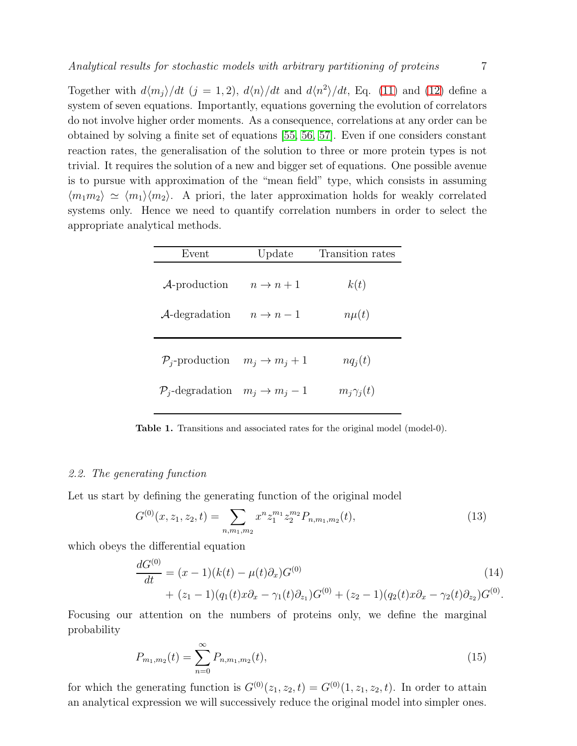Together with  $d\langle m_j \rangle/dt$  (j = 1, 2),  $d\langle n \rangle/dt$  and  $d\langle n^2 \rangle/dt$ , Eq. [\(11\)](#page-6-2) and [\(12\)](#page-6-2) define a system of seven equations. Importantly, equations governing the evolution of correlators do not involve higher order moments. As a consequence, correlations at any order can be obtained by solving a finite set of equations [\[55,](#page-30-17) [56,](#page-30-18) [57\]](#page-30-19). Even if one considers constant reaction rates, the generalisation of the solution to three or more protein types is not trivial. It requires the solution of a new and bigger set of equations. One possible avenue is to pursue with approximation of the "mean field" type, which consists in assuming  $\langle m_1 m_2 \rangle \simeq \langle m_1 \rangle \langle m_2 \rangle$ . A priori, the later approximation holds for weakly correlated systems only. Hence we need to quantify correlation numbers in order to select the appropriate analytical methods.

| Event                                                  | Update                    | Transition rates |
|--------------------------------------------------------|---------------------------|------------------|
| $\mathcal{A}$ -production                              | $n \to n+1$               | k(t)             |
| $\mathcal{A}\text{-degradation}$                       | $n \to n-1$               | $n\mu(t)$        |
| $\mathcal{P}_i$ -production                            | $m_i \rightarrow m_i + 1$ | $nq_i(t)$        |
| $\mathcal{P}_i$ -degradation $m_i \rightarrow m_i - 1$ |                           | $m_i\gamma_i(t)$ |

<span id="page-7-1"></span>Table 1. Transitions and associated rates for the original model (model-0).

#### <span id="page-7-0"></span>*2.2. The generating function*

Let us start by defining the generating function of the original model

$$
G^{(0)}(x, z_1, z_2, t) = \sum_{n, m_1, m_2} x^n z_1^{m_1} z_2^{m_2} P_{n, m_1, m_2}(t),
$$
\n(13)

which obeys the differential equation

<span id="page-7-2"></span>
$$
\frac{dG^{(0)}}{dt} = (x - 1)(k(t) - \mu(t)\partial_x)G^{(0)}\tag{14}
$$
\n
$$
+ (z_1 - 1)(q_1(t)x\partial_x - \gamma_1(t)\partial_{z_1})G^{(0)} + (z_2 - 1)(q_2(t)x\partial_x - \gamma_2(t)\partial_{z_2})G^{(0)}.
$$

Focusing our attention on the numbers of proteins only, we define the marginal probability

$$
P_{m_1,m_2}(t) = \sum_{n=0}^{\infty} P_{n,m_1,m_2}(t),
$$
\n(15)

for which the generating function is  $G^{(0)}(z_1, z_2, t) = G^{(0)}(1, z_1, z_2, t)$ . In order to attain an analytical expression we will successively reduce the original model into simpler ones.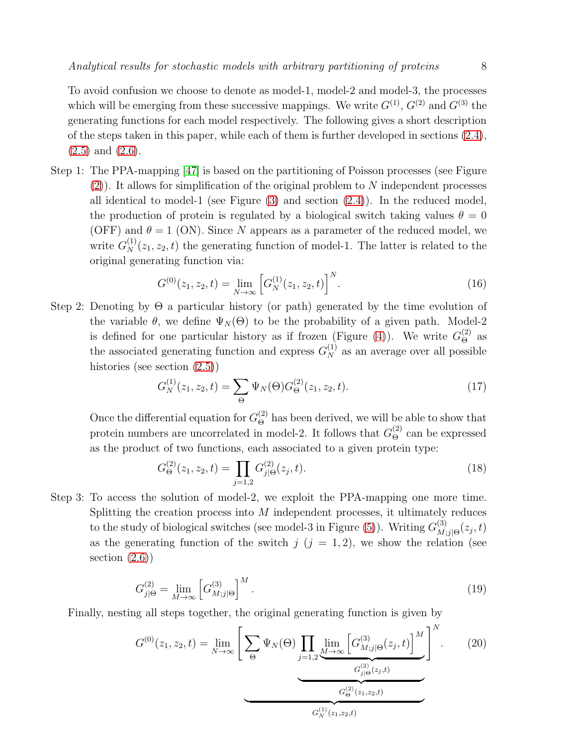To avoid confusion we choose to denote as model-1, model-2 and model-3, the processes which will be emerging from these successive mappings. We write  $G^{(1)}$ ,  $G^{(2)}$  and  $G^{(3)}$  the generating functions for each model respectively. The following gives a short description of the steps taken in this paper, while each of them is further developed in sections  $(2.4)$ ,  $(2.5)$  and  $(2.6)$ .

Step 1: The PPA-mapping [\[47\]](#page-30-6) is based on the partitioning of Poisson processes (see Figure  $(2)$ ). It allows for simplification of the original problem to N independent processes all identical to model-1 (see Figure [\(3\)](#page-11-1) and section [\(2.4\)](#page-10-0)). In the reduced model, the production of protein is regulated by a biological switch taking values  $\theta = 0$ (OFF) and  $\theta = 1$  (ON). Since N appears as a parameter of the reduced model, we write  $G_N^{(1)}(z_1, z_2, t)$  the generating function of model-1. The latter is related to the original generating function via:

<span id="page-8-0"></span>
$$
G^{(0)}(z_1, z_2, t) = \lim_{N \to \infty} \left[ G_N^{(1)}(z_1, z_2, t) \right]^N.
$$
 (16)

Step 2: Denoting by  $\Theta$  a particular history (or path) generated by the time evolution of the variable  $\theta$ , we define  $\Psi_N(\Theta)$  to be the probability of a given path. Model-2 is defined for one particular history as if frozen (Figure [\(4\)](#page-12-1)). We write  $G_{\Theta}^{(2)}$  as the associated generating function and express  $G_N^{(1)}$  as an average over all possible histories (see section  $(2.5)$ )

<span id="page-8-1"></span>
$$
G_N^{(1)}(z_1, z_2, t) = \sum_{\Theta} \Psi_N(\Theta) G_{\Theta}^{(2)}(z_1, z_2, t).
$$
 (17)

Once the differential equation for  $G_{\Theta}^{(2)}$  has been derived, we will be able to show that protein numbers are uncorrelated in model-2. It follows that  $G_{\Theta}^{(2)}$  can be expressed as the product of two functions, each associated to a given protein type:

$$
G_{\Theta}^{(2)}(z_1, z_2, t) = \prod_{j=1,2} G_{j|\Theta}^{(2)}(z_j, t). \tag{18}
$$

Step 3: To access the solution of model-2, we exploit the PPA-mapping one more time. Splitting the creation process into  $M$  independent processes, it ultimately reduces to the study of biological switches (see model-3 in Figure [\(5\)](#page-14-0)). Writing  $G_M^{(3)}$  $\sum_{M;j|\Theta}^{(3)}(z_j,t)$ as the generating function of the switch  $j$  ( $j = 1, 2$ ), we show the relation (see section  $(2.6)$ 

<span id="page-8-2"></span>
$$
G_{j|\Theta}^{(2)} = \lim_{M \to \infty} \left[ G_{M;j|\Theta}^{(3)} \right]^M.
$$
 (19)

Finally, nesting all steps together, the original generating function is given by

$$
G^{(0)}(z_1, z_2, t) = \lim_{N \to \infty} \left[ \sum_{\Theta} \Psi_N(\Theta) \prod_{j=1,2} \lim_{\substack{M \to \infty \\ \Omega_j(\Theta(z_j, t))}} \left[ G^{(3)}_{M;j|\Theta}(z_j, t) \right]^M \right]^N.
$$
 (20)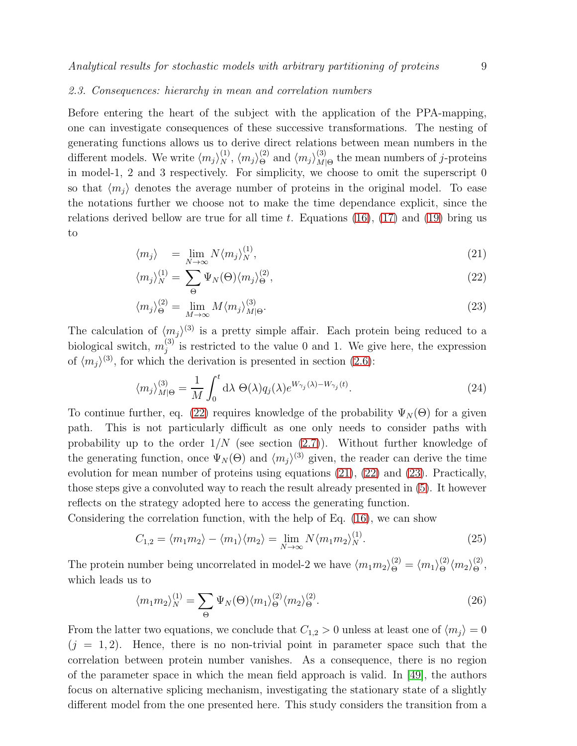#### *2.3. Consequences: hierarchy in mean and correlation numbers*

Before entering the heart of the subject with the application of the PPA-mapping, one can investigate consequences of these successive transformations. The nesting of generating functions allows us to derive direct relations between mean numbers in the different models. We write  $\langle m_j \rangle_N^{(1)}$ ,  $\langle m_j \rangle_{\Theta}^{(2)}$  and  $\langle m_j \rangle_{M|}^{(3)}$  $M_{\text{O}}^{(3)}$  the mean numbers of *j*-proteins in model-1, 2 and 3 respectively. For simplicity, we choose to omit the superscript 0 so that  $\langle m_i \rangle$  denotes the average number of proteins in the original model. To ease the notations further we choose not to make the time dependance explicit, since the relations derived bellow are true for all time t. Equations  $(16)$ ,  $(17)$  and  $(19)$  bring us to

<span id="page-9-0"></span>
$$
\langle m_j \rangle = \lim_{N \to \infty} N \langle m_j \rangle_N^{(1)}, \tag{21}
$$

$$
\langle m_j \rangle_N^{(1)} = \sum_{\Theta} \Psi_N(\Theta) \langle m_j \rangle_{\Theta}^{(2)},\tag{22}
$$

$$
\langle m_j \rangle_{\Theta}^{(2)} = \lim_{M \to \infty} M \langle m_j \rangle_{M|\Theta}^{(3)}.
$$
 (23)

The calculation of  $\langle m_j \rangle^{(3)}$  is a pretty simple affair. Each protein being reduced to a biological switch,  $m_i^{(3)}$  $j_j^{(5)}$  is restricted to the value 0 and 1. We give here, the expression of  $\langle m_j \rangle^{(3)}$ , for which the derivation is presented in section [\(2.6\)](#page-12-0):

$$
\langle m_j \rangle_{M|\Theta}^{(3)} = \frac{1}{M} \int_0^t d\lambda \ \Theta(\lambda) q_j(\lambda) e^{W_{\gamma_j}(\lambda) - W_{\gamma_j}(t)}.
$$
\n(24)

To continue further, eq. [\(22\)](#page-9-0) requires knowledge of the probability  $\Psi_N(\Theta)$  for a given path. This is not particularly difficult as one only needs to consider paths with probability up to the order  $1/N$  (see section [\(2.7\)](#page-13-0)). Without further knowledge of the generating function, once  $\Psi_N(\Theta)$  and  $\langle m_j \rangle^{(3)}$  given, the reader can derive the time evolution for mean number of proteins using equations [\(21\)](#page-9-0), [\(22\)](#page-9-0) and [\(23\)](#page-9-0). Practically, those steps give a convoluted way to reach the result already presented in [\(5\)](#page-6-3). It however reflects on the strategy adopted here to access the generating function.

Considering the correlation function, with the help of Eq. [\(16\)](#page-8-0), we can show

$$
C_{1,2} = \langle m_1 m_2 \rangle - \langle m_1 \rangle \langle m_2 \rangle = \lim_{N \to \infty} N \langle m_1 m_2 \rangle_N^{(1)}.
$$
 (25)

The protein number being uncorrelated in model-2 we have  $\langle m_1 m_2 \rangle_{\Theta}^{(2)} = \langle m_1 \rangle_{\Theta}^{(2)} \langle m_2 \rangle_{\Theta}^{(2)}$ , which leads us to

$$
\langle m_1 m_2 \rangle_N^{(1)} = \sum_{\Theta} \Psi_N(\Theta) \langle m_1 \rangle_{\Theta}^{(2)} \langle m_2 \rangle_{\Theta}^{(2)}.
$$
 (26)

From the latter two equations, we conclude that  $C_{1,2} > 0$  unless at least one of  $\langle m_j \rangle = 0$  $(j = 1, 2)$ . Hence, there is no non-trivial point in parameter space such that the correlation between protein number vanishes. As a consequence, there is no region of the parameter space in which the mean field approach is valid. In [\[49\]](#page-30-8), the authors focus on alternative splicing mechanism, investigating the stationary state of a slightly different model from the one presented here. This study considers the transition from a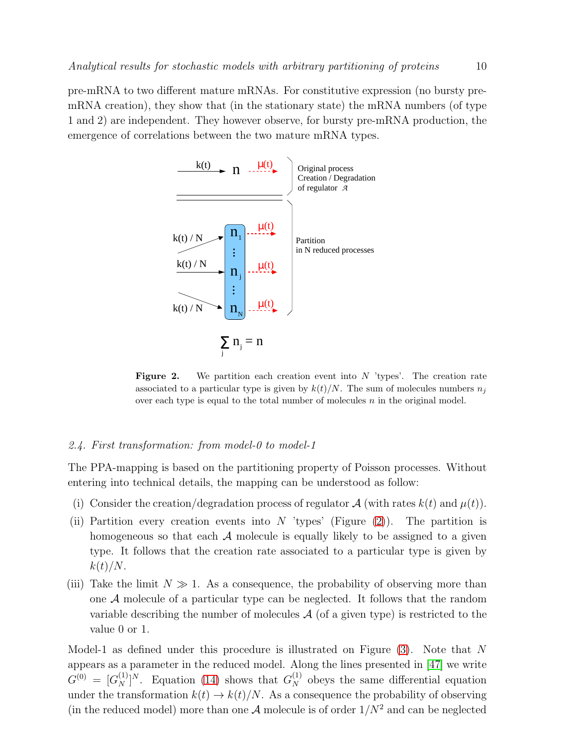pre-mRNA to two different mature mRNAs. For constitutive expression (no bursty premRNA creation), they show that (in the stationary state) the mRNA numbers (of type 1 and 2) are independent. They however observe, for bursty pre-mRNA production, the emergence of correlations between the two mature mRNA types.



<span id="page-10-1"></span>**Figure 2.** We partition each creation event into  $N$  'types'. The creation rate associated to a particular type is given by  $k(t)/N$ . The sum of molecules numbers  $n_j$ over each type is equal to the total number of molecules  $n$  in the original model.

#### <span id="page-10-0"></span>*2.4. First transformation: from model-0 to model-1*

The PPA-mapping is based on the partitioning property of Poisson processes. Without entering into technical details, the mapping can be understood as follow:

- (i) Consider the creation/degradation process of regulator  $\mathcal{A}$  (with rates  $k(t)$  and  $\mu(t)$ ).
- (ii) Partition every creation events into N 'types' (Figure  $(2)$ ). The partition is homogeneous so that each  $A$  molecule is equally likely to be assigned to a given type. It follows that the creation rate associated to a particular type is given by  $k(t)/N$ .
- (iii) Take the limit  $N \gg 1$ . As a consequence, the probability of observing more than one A molecule of a particular type can be neglected. It follows that the random variable describing the number of molecules  $A$  (of a given type) is restricted to the value 0 or 1.

Model-1 as defined under this procedure is illustrated on Figure [\(3\)](#page-11-1). Note that N appears as a parameter in the reduced model. Along the lines presented in [\[47\]](#page-30-6) we write  $G^{(0)} = [G_N^{(1)}]^N$ . Equation [\(14\)](#page-7-2) shows that  $G_N^{(1)}$  obeys the same differential equation under the transformation  $k(t) \rightarrow k(t)/N$ . As a consequence the probability of observing (in the reduced model) more than one  $A$  molecule is of order  $1/N^2$  and can be neglected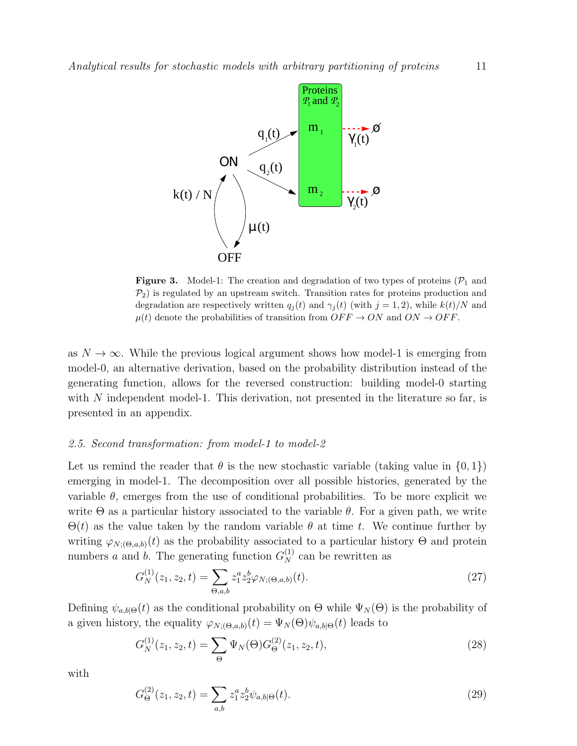

<span id="page-11-1"></span>**Figure 3.** Model-1: The creation and degradation of two types of proteins  $(\mathcal{P}_1)$  and  $\mathcal{P}_2$ ) is regulated by an upstream switch. Transition rates for proteins production and degradation are respectively written  $q_i(t)$  and  $\gamma_i(t)$  (with  $j = 1, 2$ ), while  $k(t)/N$  and  $\mu(t)$  denote the probabilities of transition from  $OFF \rightarrow ON$  and  $ON \rightarrow OFF$ .

as  $N \to \infty$ . While the previous logical argument shows how model-1 is emerging from model-0, an alternative derivation, based on the probability distribution instead of the generating function, allows for the reversed construction: building model-0 starting with  $N$  independent model-1. This derivation, not presented in the literature so far, is presented in an appendix.

#### <span id="page-11-0"></span>*2.5. Second transformation: from model-1 to model-2*

Let us remind the reader that  $\theta$  is the new stochastic variable (taking value in  $\{0, 1\}$ ) emerging in model-1. The decomposition over all possible histories, generated by the variable  $\theta$ , emerges from the use of conditional probabilities. To be more explicit we write  $\Theta$  as a particular history associated to the variable  $\theta$ . For a given path, we write  $\Theta(t)$  as the value taken by the random variable  $\theta$  at time t. We continue further by writing  $\varphi_{N;(\Theta,a,b)}(t)$  as the probability associated to a particular history  $\Theta$  and protein numbers a and b. The generating function  $G_N^{(1)}$  can be rewritten as

$$
G_N^{(1)}(z_1, z_2, t) = \sum_{\Theta, a, b} z_1^a z_2^b \varphi_{N; (\Theta, a, b)}(t).
$$
 (27)

Defining  $\psi_{a,b|\Theta}(t)$  as the conditional probability on  $\Theta$  while  $\Psi_N(\Theta)$  is the probability of a given history, the equality  $\varphi_{N;(\Theta,a,b)}(t) = \Psi_N(\Theta)\psi_{a,b|\Theta}(t)$  leads to

$$
G_N^{(1)}(z_1, z_2, t) = \sum_{\Theta} \Psi_N(\Theta) G_{\Theta}^{(2)}(z_1, z_2, t),
$$
\n(28)

with

$$
G_{\Theta}^{(2)}(z_1, z_2, t) = \sum_{a,b} z_1^a z_2^b \psi_{a,b|\Theta}(t). \tag{29}
$$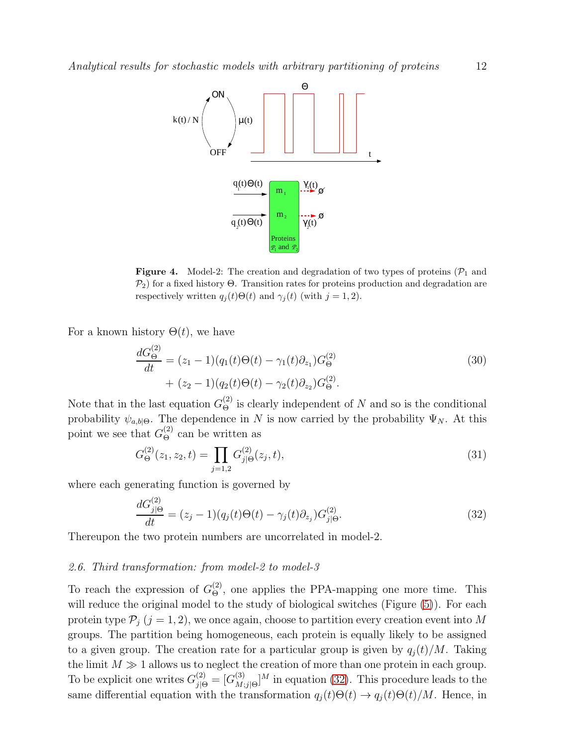

<span id="page-12-1"></span>**Figure 4.** Model-2: The creation and degradation of two types of proteins  $(\mathcal{P}_1)$  and  $\mathcal{P}_2$ ) for a fixed history Θ. Transition rates for proteins production and degradation are respectively written  $q_i(t)\Theta(t)$  and  $\gamma_i(t)$  (with  $j = 1, 2$ ).

For a known history  $\Theta(t)$ , we have

$$
\frac{dG_{\Theta}^{(2)}}{dt} = (z_1 - 1)(q_1(t)\Theta(t) - \gamma_1(t)\partial_{z_1})G_{\Theta}^{(2)}
$$
\n
$$
+ (z_2 - 1)(q_2(t)\Theta(t) - \gamma_2(t)\partial_{z_2})G_{\Theta}^{(2)}.
$$
\n(30)

Note that in the last equation  $G_{\Theta}^{(2)}$  is clearly independent of N and so is the conditional probability  $\psi_{a,b|\Theta}$ . The dependence in N is now carried by the probability  $\Psi_N$ . At this point we see that  $G_{\Theta}^{(2)}$  can be written as

$$
G_{\Theta}^{(2)}(z_1, z_2, t) = \prod_{j=1,2} G_{j|\Theta}^{(2)}(z_j, t), \tag{31}
$$

where each generating function is governed by

<span id="page-12-2"></span>
$$
\frac{dG_{j|\Theta}^{(2)}}{dt} = (z_j - 1)(q_j(t)\Theta(t) - \gamma_j(t)\partial_{z_j})G_{j|\Theta}^{(2)}.
$$
\n(32)

<span id="page-12-0"></span>Thereupon the two protein numbers are uncorrelated in model-2.

#### *2.6. Third transformation: from model-2 to model-3*

To reach the expression of  $G_{\Theta}^{(2)}$ , one applies the PPA-mapping one more time. This will reduce the original model to the study of biological switches (Figure  $(5)$ ). For each protein type  $P_j$   $(j = 1, 2)$ , we once again, choose to partition every creation event into M groups. The partition being homogeneous, each protein is equally likely to be assigned to a given group. The creation rate for a particular group is given by  $q_i(t)/M$ . Taking the limit  $M \gg 1$  allows us to neglect the creation of more than one protein in each group. To be explicit one writes  $G_{j|\Theta}^{(2)} = [G_{M_j}^{(3)}]$  $\binom{3}{M;j|\Theta}$ <sup>M</sup> in equation [\(32\)](#page-12-2). This procedure leads to the same differential equation with the transformation  $q_i(t)\Theta(t) \rightarrow q_i(t)\Theta(t)/M$ . Hence, in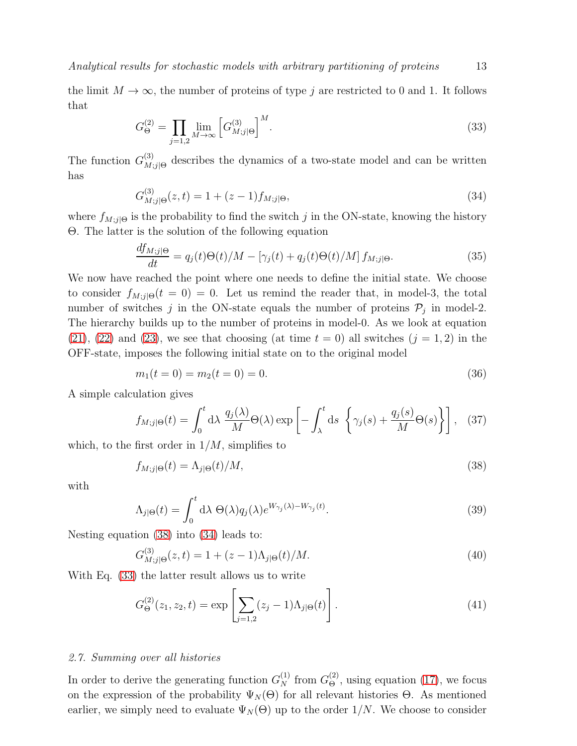the limit  $M \to \infty$ , the number of proteins of type j are restricted to 0 and 1. It follows that

<span id="page-13-3"></span>
$$
G_{\Theta}^{(2)} = \prod_{j=1,2} \lim_{M \to \infty} \left[ G_{M;j|\Theta}^{(3)} \right]^M.
$$
 (33)

The function  $G_M^{(3)}$  $\mathcal{L}^{(5)}_{M;j}$  describes the dynamics of a two-state model and can be written has

<span id="page-13-2"></span>
$$
G_{M;j|\Theta}^{(3)}(z,t) = 1 + (z-1)f_{M;j|\Theta},\tag{34}
$$

where  $f_{M;j}$  is the probability to find the switch j in the ON-state, knowing the history Θ. The latter is the solution of the following equation

$$
\frac{df_{M;j|\Theta}}{dt} = q_j(t)\Theta(t)/M - \left[\gamma_j(t) + q_j(t)\Theta(t)/M\right]f_{M;j|\Theta}.\tag{35}
$$

We now have reached the point where one needs to define the initial state. We choose to consider  $f_{M;j|\Theta}(t=0) = 0$ . Let us remind the reader that, in model-3, the total number of switches j in the ON-state equals the number of proteins  $P_j$  in model-2. The hierarchy builds up to the number of proteins in model-0. As we look at equation  $(21), (22)$  $(21), (22)$  $(21), (22)$  and  $(23),$  we see that choosing (at time  $t = 0$ ) all switches  $(j = 1, 2)$  in the OFF-state, imposes the following initial state on to the original model

<span id="page-13-4"></span>
$$
m_1(t=0) = m_2(t=0) = 0.
$$
\n(36)

A simple calculation gives

$$
f_{M;j|\Theta}(t) = \int_0^t \mathrm{d}\lambda \, \frac{q_j(\lambda)}{M} \Theta(\lambda) \exp\left[ -\int_\lambda^t \mathrm{d}s \, \left\{ \gamma_j(s) + \frac{q_j(s)}{M} \Theta(s) \right\} \right], \tag{37}
$$

which, to the first order in  $1/M$ , simplifies to

<span id="page-13-1"></span>
$$
f_{M;j|\Theta}(t) = \Lambda_{j|\Theta}(t)/M,\tag{38}
$$

with

$$
\Lambda_{j|\Theta}(t) = \int_0^t \mathrm{d}\lambda \ \Theta(\lambda) q_j(\lambda) e^{W_{\gamma_j}(\lambda) - W_{\gamma_j}(t)}.\tag{39}
$$

Nesting equation [\(38\)](#page-13-1) into [\(34\)](#page-13-2) leads to:

$$
G_{M;j|\Theta}^{(3)}(z,t) = 1 + (z-1)\Lambda_{j|\Theta}(t)/M.
$$
\n(40)

With Eq. [\(33\)](#page-13-3) the latter result allows us to write

$$
G_{\Theta}^{(2)}(z_1, z_2, t) = \exp\left[\sum_{j=1,2} (z_j - 1)\Lambda_{j|\Theta}(t)\right].
$$
\n(41)

#### <span id="page-13-0"></span>*2.7. Summing over all histories*

In order to derive the generating function  $G_N^{(1)}$  from  $G_{\Theta}^{(2)}$ , using equation [\(17\)](#page-8-1), we focus on the expression of the probability  $\Psi_N(\Theta)$  for all relevant histories  $\Theta$ . As mentioned earlier, we simply need to evaluate  $\Psi_N(\Theta)$  up to the order 1/N. We choose to consider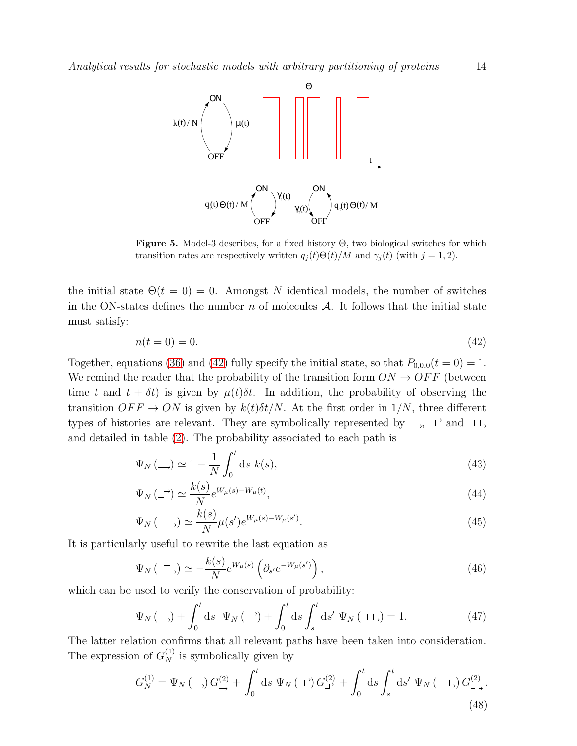

<span id="page-14-0"></span>**Figure 5.** Model-3 describes, for a fixed history  $\Theta$ , two biological switches for which transition rates are respectively written  $q_i(t)\Theta(t)/M$  and  $\gamma_i(t)$  (with  $j=1,2$ ).

the initial state  $\Theta(t=0)=0$ . Amongst N identical models, the number of switches in the ON-states defines the number n of molecules  $A$ . It follows that the initial state must satisfy:

<span id="page-14-1"></span>
$$
n(t = 0) = 0.\t(42)
$$

Together, equations [\(36\)](#page-13-4) and [\(42\)](#page-14-1) fully specify the initial state, so that  $P_{0,0,0}(t=0) = 1$ . We remind the reader that the probability of the transition form  $ON \rightarrow OFF$  (between time t and  $t + \delta t$ ) is given by  $\mu(t)\delta t$ . In addition, the probability of observing the transition  $OFF \rightarrow ON$  is given by  $k(t)\delta t/N$ . At the first order in  $1/N$ , three different types of histories are relevant. They are symbolically represented by  $\rightarrow$ ,  $\rightarrow$  and  $\rightarrow$ and detailed in table [\(2\)](#page-15-1). The probability associated to each path is

$$
\Psi_N(\underline{\hspace{1cm}}) \simeq 1 - \frac{1}{N} \int_0^t \mathrm{d}s \; k(s),\tag{43}
$$

$$
\Psi_N(\mathcal{I}) \simeq \frac{k(s)}{N} e^{W_\mu(s) - W_\mu(t)},\tag{44}
$$

$$
\Psi_N(\Box \Box) \simeq \frac{k(s)}{N} \mu(s') e^{W_\mu(s) - W_\mu(s')}.\tag{45}
$$

It is particularly useful to rewrite the last equation as

$$
\Psi_N(\Box \Box) \simeq -\frac{k(s)}{N} e^{W_\mu(s)} \left( \partial_{s'} e^{-W_\mu(s')} \right), \tag{46}
$$

which can be used to verify the conservation of probability:

$$
\Psi_N(\underline{\hspace{1cm}}) + \int_0^t \mathrm{d}s \ \Psi_N(\underline{\hspace{1cm}}) + \int_0^t \mathrm{d}s \int_s^t \mathrm{d}s' \ \Psi_N(\underline{\hspace{1cm}} \underline{\hspace{1cm}}) = 1. \tag{47}
$$

The latter relation confirms that all relevant paths have been taken into consideration. The expression of  $G_N^{(1)}$  is symbolically given by

$$
G_N^{(1)} = \Psi_N \left( \bigcup_{\longrightarrow} G^{(2)}_{\longrightarrow} + \int_0^t \mathrm{d}s \, \Psi_N \left( \bigcup_{\square} G^{(2)}_{\square} + \int_0^t \mathrm{d}s \int_s^t \mathrm{d}s' \, \Psi_N \left( \bigcap_{\square} G^{(2)}_{\square} \right) \right) \tag{48}
$$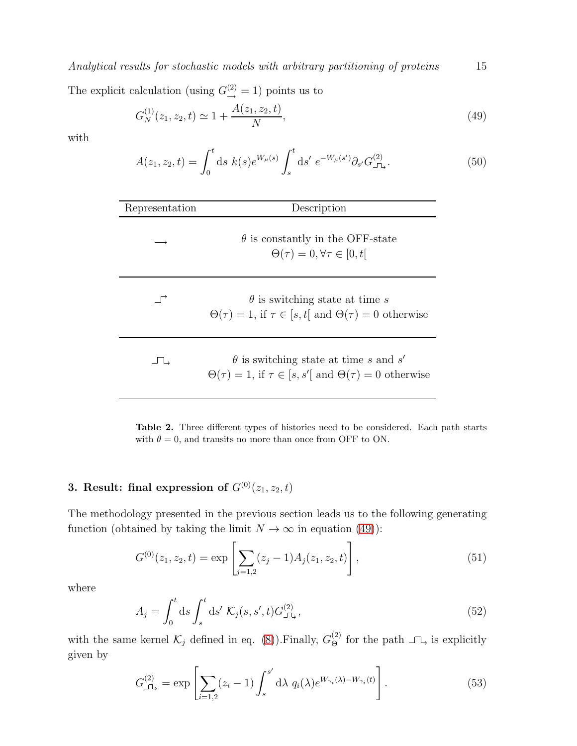*Analytical results for stochastic models with arbitrary partitioning of proteins* 15

The explicit calculation (using  $G^{(2)}_{\rightarrow} = 1$ ) points us to

<span id="page-15-2"></span>
$$
G_N^{(1)}(z_1, z_2, t) \simeq 1 + \frac{A(z_1, z_2, t)}{N},\tag{49}
$$

with

$$
A(z_1, z_2, t) = \int_0^t ds \ k(s) e^{W_\mu(s)} \int_s^t ds' \ e^{-W_\mu(s')} \partial_{s'} G^{(2)}_{\perp}.
$$
 (50)

| Representation       | Description                                                                                                                 |
|----------------------|-----------------------------------------------------------------------------------------------------------------------------|
|                      | $\theta$ is constantly in the OFF-state<br>$\Theta(\tau) = 0, \forall \tau \in [0, t]$                                      |
| $\overrightarrow{r}$ | $\theta$ is switching state at time s<br>$\Theta(\tau) = 1$ , if $\tau \in [s, t]$ and $\Theta(\tau) = 0$ otherwise         |
| حا ك                 | $\theta$ is switching state at time s and s'<br>$\Theta(\tau) = 1$ , if $\tau \in [s, s']$ and $\Theta(\tau) = 0$ otherwise |

<span id="page-15-1"></span>Table 2. Three different types of histories need to be considered. Each path starts with  $\theta = 0$ , and transits no more than once from OFF to ON.

## <span id="page-15-0"></span>3. Result: final expression of  $G^{(0)}(z_1, z_2, t)$

The methodology presented in the previous section leads us to the following generating function (obtained by taking the limit  $N \to \infty$  in equation [\(49\)](#page-15-2)):

<span id="page-15-3"></span>
$$
G^{(0)}(z_1, z_2, t) = \exp\left[\sum_{j=1,2} (z_j - 1) A_j(z_1, z_2, t)\right],\tag{51}
$$

where

$$
A_j = \int_0^t ds \int_s^t ds' \mathcal{K}_j(s, s', t) G_{\perp \downarrow}^{(2)}, \qquad (52)
$$

with the same kernel  $\mathcal{K}_j$  defined in eq. [\(8\)](#page-6-4)). Finally,  $G_{\Theta}^{(2)}$  for the path  $\Box \Box$  is explicitly given by

<span id="page-15-4"></span>
$$
G_{\square_{\lambda}}^{(2)} = \exp\left[\sum_{i=1,2} (z_i - 1) \int_s^{s'} d\lambda \ q_i(\lambda) e^{W_{\gamma_i}(\lambda) - W_{\gamma_i}(t)}\right]. \tag{53}
$$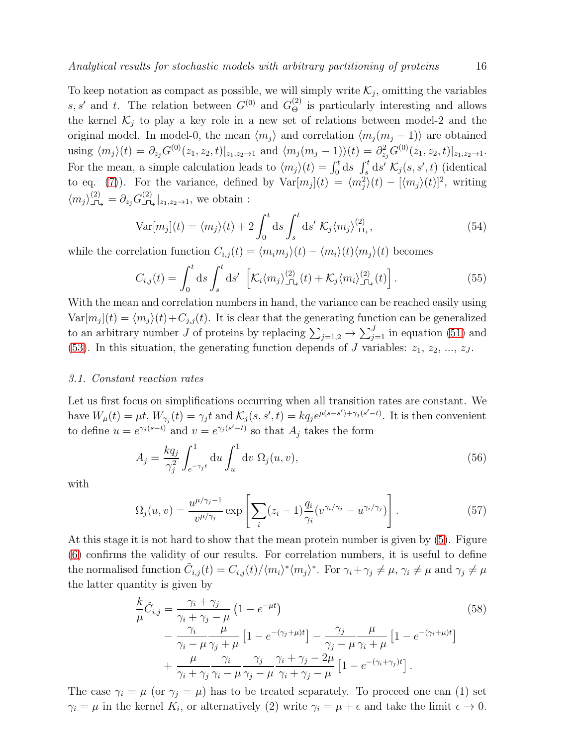To keep notation as compact as possible, we will simply write  $\mathcal{K}_j$ , omitting the variables s, s' and t. The relation between  $G^{(0)}$  and  $G^{(2)}_{\Theta}$  is particularly interesting and allows the kernel  $\mathcal{K}_i$  to play a key role in a new set of relations between model-2 and the original model. In model-0, the mean  $\langle m_j \rangle$  and correlation  $\langle m_j (m_j - 1) \rangle$  are obtained using  $\langle m_j \rangle(t) = \partial_{z_j} G^{(0)}(z_1, z_2, t)|_{z_1, z_2 \to 1}$  and  $\langle m_j(m_j - 1) \rangle(t) = \partial_{z_j}^2 G^{(0)}(z_1, z_2, t)|_{z_1, z_2 \to 1}$ . For the mean, a simple calculation leads to  $\langle m_j \rangle(t) = \int_0^t ds \int_s^t ds' \mathcal{K}_j(s, s', t)$  (identical to eq. [\(7\)](#page-6-5)). For the variance, defined by  $Var[m_j](t) = \langle m_j^2 \rangle(t) - [\langle m_j \rangle(t)]^2$ , writing  $\langle m_j \rangle_{\square_2}^{(2)} = \partial_{z_j} G_{\square_2}^{(2)} |_{z_1, z_2 \to 1}$ , we obtain :

$$
\text{Var}[m_j](t) = \langle m_j \rangle(t) + 2 \int_0^t \text{d}s \int_s^t \text{d}s' \mathcal{K}_j \langle m_j \rangle_{\text{L}, \lambda}^{(2)}, \tag{54}
$$

while the correlation function  $C_{i,j}(t) = \langle m_i m_j \rangle(t) - \langle m_i \rangle(t) \langle m_j \rangle(t)$  becomes

<span id="page-16-0"></span>
$$
C_{i,j}(t) = \int_0^t ds \int_s^t ds' \left[ \mathcal{K}_i \langle m_j \rangle_{\mathbb{J}\mathbb{L}}^{(2)}(t) + \mathcal{K}_j \langle m_i \rangle_{\mathbb{J}\mathbb{L}}^{(2)}(t) \right]. \tag{55}
$$

With the mean and correlation numbers in hand, the variance can be reached easily using  $Var[m_j](t) = \langle m_j \rangle(t) + C_{j,j}(t)$ . It is clear that the generating function can be generalized to an arbitrary number J of proteins by replacing  $\sum_{j=1,2} \rightarrow \sum_{j=1}^{J}$  in equation [\(51\)](#page-15-3) and [\(53\)](#page-15-4). In this situation, the generating function depends of J variables:  $z_1, z_2, ..., z_J$ .

#### *3.1. Constant reaction rates*

Let us first focus on simplifications occurring when all transition rates are constant. We have  $W_{\mu}(t) = \mu t$ ,  $W_{\gamma_j}(t) = \gamma_j t$  and  $\mathcal{K}_j(s, s', t) = k q_j e^{\mu(s-s') + \gamma_j(s'-t)}$ . It is then convenient to define  $u = e^{\gamma_j (s-t)}$  and  $v = e^{\gamma_j (s'-t)}$  so that  $A_j$  takes the form

$$
A_j = \frac{kq_j}{\gamma_j^2} \int_{e^{-\gamma_j t}}^1 du \int_u^1 dv \Omega_j(u, v), \qquad (56)
$$

with

$$
\Omega_j(u,v) = \frac{u^{\mu/\gamma_j - 1}}{v^{\mu/\gamma_j}} \exp\left[\sum_i (z_i - 1) \frac{q_i}{\gamma_i} (v^{\gamma_i/\gamma_j} - u^{\gamma_i/\gamma_j})\right].
$$
\n(57)

At this stage it is not hard to show that the mean protein number is given by [\(5\)](#page-6-3). Figure [\(6\)](#page-19-0) confirms the validity of our results. For correlation numbers, it is useful to define the normalised function  $\tilde{C}_{i,j}(t) = C_{i,j}(t) / \langle m_i \rangle^* \langle m_j \rangle^*$ . For  $\gamma_i + \gamma_j \neq \mu$ ,  $\gamma_i \neq \mu$  and  $\gamma_j \neq \mu$ the latter quantity is given by

$$
\frac{k}{\mu}\tilde{C}_{i,j} = \frac{\gamma_i + \gamma_j}{\gamma_i + \gamma_j - \mu} \left(1 - e^{-\mu t}\right)
$$
\n
$$
- \frac{\gamma_i}{\gamma_i - \mu} \frac{\mu}{\gamma_j + \mu} \left[1 - e^{-(\gamma_j + \mu)t}\right] - \frac{\gamma_j}{\gamma_j - \mu} \frac{\mu}{\gamma_i + \mu} \left[1 - e^{-(\gamma_i + \mu)t}\right]
$$
\n
$$
+ \frac{\mu}{\gamma_i + \gamma_j} \frac{\gamma_i}{\gamma_i - \mu} \frac{\gamma_j}{\gamma_j - \mu} \frac{\gamma_i + \gamma_j - 2\mu}{\gamma_i + \gamma_j - \mu} \left[1 - e^{-(\gamma_i + \gamma_j)t}\right].
$$
\n(58)

The case  $\gamma_i = \mu$  (or  $\gamma_j = \mu$ ) has to be treated separately. To proceed one can (1) set  $\gamma_i = \mu$  in the kernel  $K_i$ , or alternatively (2) write  $\gamma_i = \mu + \epsilon$  and take the limit  $\epsilon \to 0$ .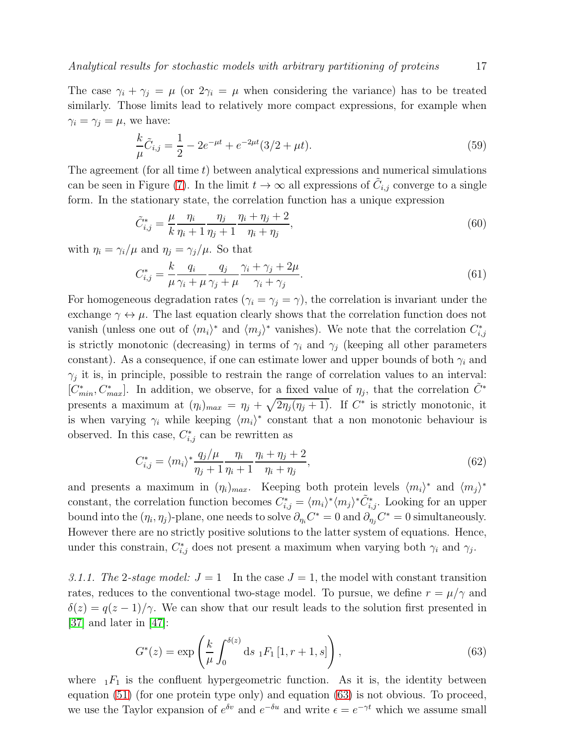The case  $\gamma_i + \gamma_j = \mu$  (or  $2\gamma_i = \mu$  when considering the variance) has to be treated similarly. Those limits lead to relatively more compact expressions, for example when  $\gamma_i = \gamma_j = \mu$ , we have:

$$
\frac{k}{\mu}\tilde{C}_{i,j} = \frac{1}{2} - 2e^{-\mu t} + e^{-2\mu t}(3/2 + \mu t). \tag{59}
$$

The agreement (for all time  $t$ ) between analytical expressions and numerical simulations can be seen in Figure [\(7\)](#page-19-1). In the limit  $t \to \infty$  all expressions of  $\tilde{C}_{i,j}$  converge to a single form. In the stationary state, the correlation function has a unique expression

$$
\tilde{C}_{i,j}^* = \frac{\mu}{k} \frac{\eta_i}{\eta_i + 1} \frac{\eta_j}{\eta_j + 1} \frac{\eta_i + \eta_j + 2}{\eta_i + \eta_j},\tag{60}
$$

with  $\eta_i = \gamma_i / \mu$  and  $\eta_j = \gamma_j / \mu$ . So that

<span id="page-17-1"></span>
$$
C_{i,j}^* = \frac{k}{\mu} \frac{q_i}{\gamma_i + \mu} \frac{q_j}{\gamma_j + \mu} \frac{\gamma_i + \gamma_j + 2\mu}{\gamma_i + \gamma_j}.
$$
\n(61)

For homogeneous degradation rates ( $\gamma_i = \gamma_j = \gamma$ ), the correlation is invariant under the exchange  $\gamma \leftrightarrow \mu$ . The last equation clearly shows that the correlation function does not vanish (unless one out of  $\langle m_i \rangle^*$  and  $\langle m_j \rangle^*$  vanishes). We note that the correlation  $C_{i,j}^*$ is strictly monotonic (decreasing) in terms of  $\gamma_i$  and  $\gamma_j$  (keeping all other parameters constant). As a consequence, if one can estimate lower and upper bounds of both  $\gamma_i$  and  $\gamma_j$  it is, in principle, possible to restrain the range of correlation values to an interval:  $[C_{min}^*, C_{max}^*]$ . In addition, we observe, for a fixed value of  $\eta_j$ , that the correlation  $\tilde{C}^*$ presents a maximum at  $(\eta_i)_{max} = \eta_j + \sqrt{2\eta_j(\eta_j+1)}$ . If  $C^*$  is strictly monotonic, it is when varying  $\gamma_i$  while keeping  $\langle m_i \rangle^*$  constant that a non monotonic behaviour is observed. In this case,  $C_{i,j}^*$  can be rewritten as

$$
C_{i,j}^* = \langle m_i \rangle^* \frac{q_j/\mu}{\eta_j + 1} \frac{\eta_i}{\eta_i + 1} \frac{\eta_i + \eta_j + 2}{\eta_i + \eta_j},\tag{62}
$$

and presents a maximum in  $(\eta_i)_{max}$ . Keeping both protein levels  $\langle m_i \rangle^*$  and  $\langle m_j \rangle^*$ constant, the correlation function becomes  $C_{i,j}^* = \langle m_i \rangle^* \langle m_j \rangle^* \tilde{C}_{i,j}^*$ . Looking for an upper bound into the  $(\eta_i, \eta_j)$ -plane, one needs to solve  $\partial_{\eta_i} C^* = 0$  and  $\partial_{\eta_j} C^* = 0$  simultaneously. However there are no strictly positive solutions to the latter system of equations. Hence, under this constrain,  $C_{i,j}^*$  does not present a maximum when varying both  $\gamma_i$  and  $\gamma_j$ .

3.1.1. The 2-stage model:  $J = 1$  In the case  $J = 1$ , the model with constant transition rates, reduces to the conventional two-stage model. To pursue, we define  $r = \mu/\gamma$  and  $\delta(z) = q(z-1)/\gamma$ . We can show that our result leads to the solution first presented in [\[37\]](#page-29-19) and later in [\[47\]](#page-30-6):

<span id="page-17-0"></span>
$$
G^*(z) = \exp\left(\frac{k}{\mu} \int_0^{\delta(z)} ds \, {}_1F_1\left[1, r+1, s\right]\right),\tag{63}
$$

where  $_1F_1$  is the confluent hypergeometric function. As it is, the identity between equation [\(51\)](#page-15-3) (for one protein type only) and equation [\(63\)](#page-17-0) is not obvious. To proceed, we use the Taylor expansion of  $e^{\delta v}$  and  $e^{-\delta u}$  and write  $\epsilon = e^{-\gamma t}$  which we assume small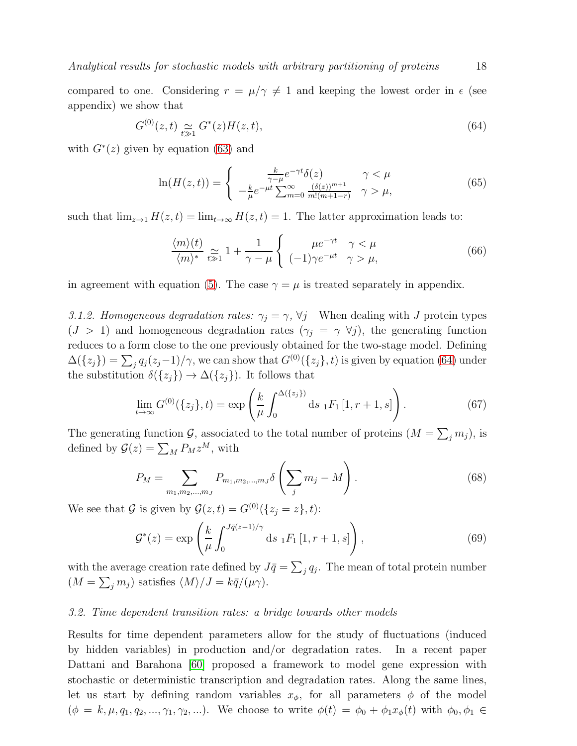compared to one. Considering  $r = \mu/\gamma \neq 1$  and keeping the lowest order in  $\epsilon$  (see appendix) we show that

<span id="page-18-0"></span>
$$
G^{(0)}(z,t) \simeq_{t \gg 1} G^*(z)H(z,t),
$$
\n(64)

with  $G^*(z)$  given by equation [\(63\)](#page-17-0) and

<span id="page-18-1"></span>
$$
\ln(H(z,t)) = \begin{cases} \frac{k}{\gamma - \mu} e^{-\gamma t} \delta(z) & \gamma < \mu\\ -\frac{k}{\mu} e^{-\mu t} \sum_{m=0}^{\infty} \frac{(\delta(z))^{m+1}}{m!(m+1-r)} & \gamma > \mu, \end{cases} \tag{65}
$$

such that  $\lim_{z\to 1} H(z,t) = \lim_{t\to\infty} H(z,t) = 1$ . The latter approximation leads to:

$$
\frac{\langle m \rangle(t)}{\langle m \rangle^*} \underset{t \gg 1}{\simeq} 1 + \frac{1}{\gamma - \mu} \left\{ \begin{array}{cc} \mu e^{-\gamma t} & \gamma < \mu \\ (-1)\gamma e^{-\mu t} & \gamma > \mu, \end{array} \right. \tag{66}
$$

in agreement with equation [\(5\)](#page-6-3). The case  $\gamma = \mu$  is treated separately in appendix.

*3.1.2. Homogeneous degradation rates:*  $\gamma_j = \gamma$ ,  $\forall j$  When dealing with J protein types  $(J > 1)$  and homogeneous degradation rates  $(\gamma_i = \gamma \ \forall j)$ , the generating function reduces to a form close to the one previously obtained for the two-stage model. Defining  $\Delta(\{z_j\}) = \sum_j q_j(z_j-1)/\gamma$ , we can show that  $G^{(0)}(\{z_j\}, t)$  is given by equation [\(64\)](#page-18-0) under the substitution  $\delta({z_j}) \to \Delta({z_j})$ . It follows that

$$
\lim_{t \to \infty} G^{(0)}(\{z_j\}, t) = \exp\left(\frac{k}{\mu} \int_0^{\Delta(\{z_j\})} ds \, {}_1F_1[1, r+1, s]\right). \tag{67}
$$

The generating function  $\mathcal{G}$ , associated to the total number of proteins  $(M = \sum_j m_j)$ , is defined by  $\mathcal{G}(z) = \sum_{M} P_M z^M$ , with

$$
P_M = \sum_{m_1, m_2, \dots, m_J} P_{m_1, m_2, \dots, m_J} \delta \left( \sum_j m_j - M \right).
$$
 (68)

We see that G is given by  $\mathcal{G}(z,t) = G^{(0)}(\{z_i = z\}, t)$ :

$$
\mathcal{G}^*(z) = \exp\left(\frac{k}{\mu} \int_0^{J\bar{q}(z-1)/\gamma} ds \, {}_1F_1\left[1, r+1, s\right]\right),\tag{69}
$$

with the average creation rate defined by  $J\bar{q} = \sum_{j} q_j$ . The mean of total protein number  $(M = \sum_j m_j)$  satisfies  $\langle M \rangle / J = k \bar{q} / (\mu \gamma)$ .

#### *3.2. Time dependent transition rates: a bridge towards other models*

Results for time dependent parameters allow for the study of fluctuations (induced by hidden variables) in production and/or degradation rates. In a recent paper Dattani and Barahona [\[60\]](#page-30-16) proposed a framework to model gene expression with stochastic or deterministic transcription and degradation rates. Along the same lines, let us start by defining random variables  $x_{\phi}$ , for all parameters  $\phi$  of the model  $(\phi = k, \mu, q_1, q_2, ..., \gamma_1, \gamma_2, ...)$ . We choose to write  $\phi(t) = \phi_0 + \phi_1 x_{\phi}(t)$  with  $\phi_0, \phi_1 \in$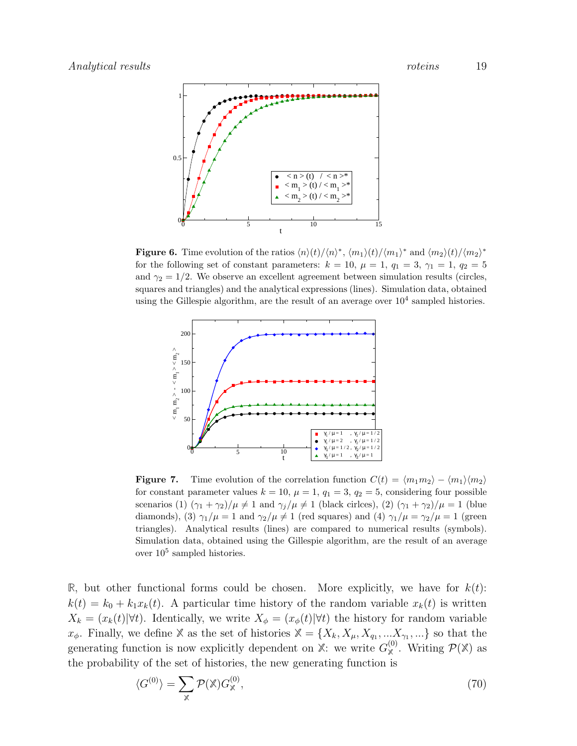

<span id="page-19-0"></span>**Figure 6.** Time evolution of the ratios  $\langle n \rangle(t) / \langle n \rangle^*$ ,  $\langle m_1 \rangle(t) / \langle m_1 \rangle^*$  and  $\langle m_2 \rangle(t) / \langle m_2 \rangle^*$ for the following set of constant parameters:  $k = 10$ ,  $\mu = 1$ ,  $q_1 = 3$ ,  $\gamma_1 = 1$ ,  $q_2 = 5$ and  $\gamma_2 = 1/2$ . We observe an excellent agreement between simulation results (circles, squares and triangles) and the analytical expressions (lines). Simulation data, obtained using the Gillespie algorithm, are the result of an average over  $10^4$  sampled histories.



<span id="page-19-1"></span>**Figure 7.** Time evolution of the correlation function  $C(t) = \langle m_1 m_2 \rangle - \langle m_1 \rangle \langle m_2 \rangle$ for constant parameter values  $k = 10$ ,  $\mu = 1$ ,  $q_1 = 3$ ,  $q_2 = 5$ , considering four possible scenarios (1)  $(\gamma_1 + \gamma_2)/\mu \neq 1$  and  $\gamma_j/\mu \neq 1$  (black cirlces), (2)  $(\gamma_1 + \gamma_2)/\mu = 1$  (blue diamonds), (3)  $\gamma_1/\mu = 1$  and  $\gamma_2/\mu \neq 1$  (red squares) and (4)  $\gamma_1/\mu = \gamma_2/\mu = 1$  (green triangles). Analytical results (lines) are compared to numerical results (symbols). Simulation data, obtained using the Gillespie algorithm, are the result of an average over  $10^5$  sampled histories.

**R**, but other functional forms could be chosen. More explicitly, we have for  $k(t)$ :  $k(t) = k_0 + k_1x_k(t)$ . A particular time history of the random variable  $x_k(t)$  is written  $X_k = (x_k(t)|\forall t)$ . Identically, we write  $X_{\phi} = (x_{\phi}(t)|\forall t)$  the history for random variable  $x_{\phi}$ . Finally, we define **X** as the set of histories  $\mathbb{X} = \{X_k, X_{\mu}, X_{q_1}, ... X_{\gamma_1}, ...\}$  so that the generating function is now explicitly dependent on  $\mathbb{X}$ : we write  $G_{\mathbb{X}}^{(0)}$ . Writing  $\mathcal{P}(\mathbb{X})$  as the probability of the set of histories, the new generating function is

$$
\langle G^{(0)} \rangle = \sum_{\mathbb{X}} \mathcal{P}(\mathbb{X}) G_{\mathbb{X}}^{(0)},\tag{70}
$$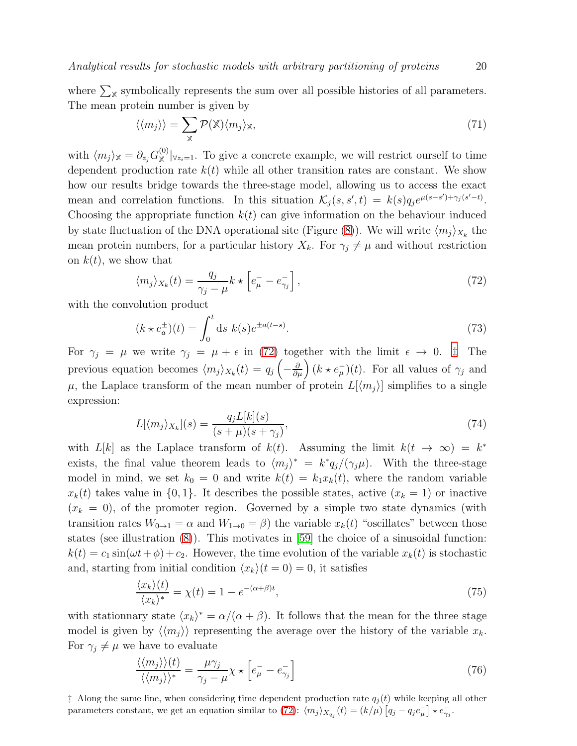*Analytical results for stochastic models with arbitrary partitioning of proteins* 20

where  $\sum_{\mathbb{X}}$  symbolically represents the sum over all possible histories of all parameters. The mean protein number is given by

$$
\langle \langle m_j \rangle \rangle = \sum_{\mathbb{X}} \mathcal{P}(\mathbb{X}) \langle m_j \rangle_{\mathbb{X}},\tag{71}
$$

with  $\langle m_j \rangle_{\mathbb{X}} = \partial_{z_j} G_{\mathbb{X}}^{(0)} |_{z_i=1}$ . To give a concrete example, we will restrict ourself to time dependent production rate  $k(t)$  while all other transition rates are constant. We show how our results bridge towards the three-stage model, allowing us to access the exact mean and correlation functions. In this situation  $\mathcal{K}_j(s, s', t) = k(s)q_j e^{\mu(s-s') + \gamma_j(s'-t)}$ . Choosing the appropriate function  $k(t)$  can give information on the behaviour induced by state fluctuation of the DNA operational site (Figure [\(8\)](#page-22-0)). We will write  $\langle m_j \rangle_{X_k}$  the mean protein numbers, for a particular history  $X_k$ . For  $\gamma_j \neq \mu$  and without restriction on  $k(t)$ , we show that

<span id="page-20-0"></span>
$$
\langle m_j \rangle_{X_k}(t) = \frac{q_j}{\gamma_j - \mu} k \star \left[ e^-_{\mu} - e^-_{\gamma_j} \right],\tag{72}
$$

with the convolution product

$$
(k \star e_a^{\pm})(t) = \int_0^t \mathrm{d}s \ k(s)e^{\pm a(t-s)}.\tag{73}
$$

For  $\gamma_j = \mu$  we write  $\gamma_j = \mu + \epsilon$  in [\(72\)](#page-20-0) together with the limit  $\epsilon \to 0$ .  $\ddagger$  The previous equation becomes  $\langle m_j \rangle_{X_k}(t) = q_j\left(-\frac{\partial}{\partial \mu}\right)(k \star e^-_{\mu})(t)$ . For all values of  $\gamma_j$  and  $\mu$ , the Laplace transform of the mean number of protein  $L[\langle m_j \rangle]$  simplifies to a single expression:

$$
L[\langle m_j \rangle_{X_k}](s) = \frac{q_j L[k](s)}{(s + \mu)(s + \gamma_j)},\tag{74}
$$

with  $L[k]$  as the Laplace transform of  $k(t)$ . Assuming the limit  $k(t \to \infty) = k^*$ exists, the final value theorem leads to  $\langle m_j \rangle^* = k^* q_j / (\gamma_j \mu)$ . With the three-stage model in mind, we set  $k_0 = 0$  and write  $k(t) = k_1x_k(t)$ , where the random variable  $x_k(t)$  takes value in  $\{0,1\}$ . It describes the possible states, active  $(x_k = 1)$  or inactive  $(x_k = 0)$ , of the promoter region. Governed by a simple two state dynamics (with transition rates  $W_{0\to 1} = \alpha$  and  $W_{1\to 0} = \beta$ ) the variable  $x_k(t)$  "oscillates" between those states (see illustration [\(8\)](#page-22-0)). This motivates in [\[59\]](#page-30-15) the choice of a sinusoidal function:  $k(t) = c_1 \sin(\omega t + \phi) + c_2$ . However, the time evolution of the variable  $x_k(t)$  is stochastic and, starting from initial condition  $\langle x_k \rangle(t = 0) = 0$ , it satisfies

$$
\frac{\langle x_k \rangle(t)}{\langle x_k \rangle^*} = \chi(t) = 1 - e^{-(\alpha + \beta)t},\tag{75}
$$

with stationnary state  $\langle x_k \rangle^* = \alpha/(\alpha + \beta)$ . It follows that the mean for the three stage model is given by  $\langle \langle m_j \rangle \rangle$  representing the average over the history of the variable  $x_k$ . For  $\gamma_j \neq \mu$  we have to evaluate

$$
\frac{\langle \langle m_j \rangle \rangle (t)}{\langle \langle m_j \rangle \rangle^*} = \frac{\mu \gamma_j}{\gamma_j - \mu} \chi \star \left[ e_{\mu}^- - e_{\gamma_j}^- \right] \tag{76}
$$

<span id="page-20-1"></span> $\ddagger$  Along the same line, when considering time dependent production rate  $q_i(t)$  while keeping all other parameters constant, we get an equation similar to [\(72\)](#page-20-0):  $\langle m_j \rangle_{X_{q_j}}(t) = (k/\mu) \left[ q_j - q_j e^-_{\mu} \right] \star e^-_{\gamma_j}$ .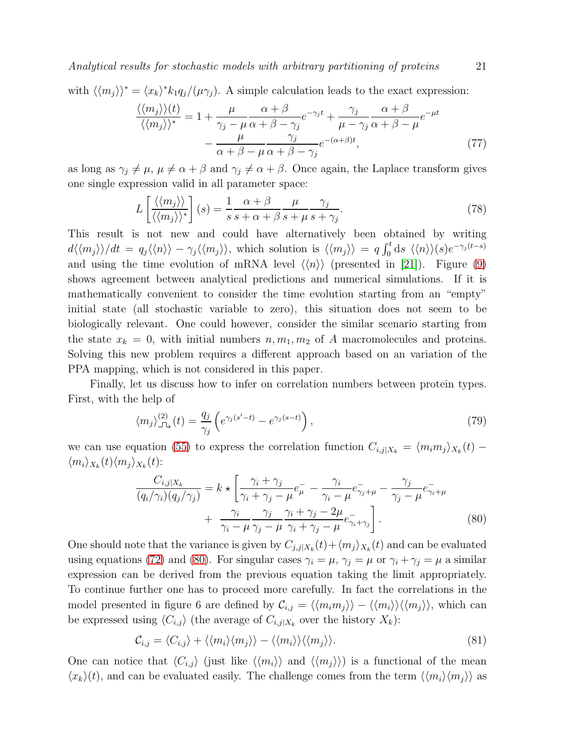*Analytical results for stochastic models with arbitrary partitioning of proteins* 21

with  $\langle \langle m_j \rangle \rangle^* = \langle x_k \rangle^* k_1 q_j / (\mu \gamma_j)$ . A simple calculation leads to the exact expression:

<span id="page-21-1"></span>
$$
\frac{\langle \langle m_j \rangle \rangle (t)}{\langle \langle m_j \rangle \rangle^*} = 1 + \frac{\mu}{\gamma_j - \mu} \frac{\alpha + \beta}{\alpha + \beta - \gamma_j} e^{-\gamma_j t} + \frac{\gamma_j}{\mu - \gamma_j} \frac{\alpha + \beta}{\alpha + \beta - \mu} e^{-\mu t} - \frac{\mu}{\alpha + \beta - \mu} \frac{\gamma_j}{\alpha + \beta - \gamma_j} e^{-(\alpha + \beta)t}, \tag{77}
$$

as long as  $\gamma_j \neq \mu$ ,  $\mu \neq \alpha + \beta$  and  $\gamma_j \neq \alpha + \beta$ . Once again, the Laplace transform gives one single expression valid in all parameter space:

$$
L\left[\frac{\langle\langle m_j\rangle\rangle}{\langle\langle m_j\rangle\rangle^*}\right](s) = \frac{1}{s} \frac{\alpha + \beta}{s + \alpha + \beta} \frac{\mu}{s + \mu} \frac{\gamma_j}{s + \gamma_j}.
$$
\n(78)

This result is not new and could have alternatively been obtained by writing  $d\langle\langle m_j\rangle\rangle/dt = q_j \langle\langle n \rangle\rangle - \gamma_j \langle\langle m_j \rangle\rangle$ , which solution is  $\langle\langle m_j \rangle\rangle = q \int_0^t ds \langle\langle n \rangle\rangle (s) e^{-\gamma_j (t-s)}$ and using the time evolution of mRNA level  $\langle \langle n \rangle \rangle$  (presented in [\[21\]](#page-29-3)). Figure [\(9\)](#page-23-0) shows agreement between analytical predictions and numerical simulations. If it is mathematically convenient to consider the time evolution starting from an "empty" initial state (all stochastic variable to zero), this situation does not seem to be biologically relevant. One could however, consider the similar scenario starting from the state  $x_k = 0$ , with initial numbers  $n, m_1, m_2$  of A macromolecules and proteins. Solving this new problem requires a different approach based on an variation of the PPA mapping, which is not considered in this paper.

Finally, let us discuss how to infer on correlation numbers between protein types. First, with the help of

$$
\langle m_j \rangle_{\Box}^{(2)}(t) = \frac{q_j}{\gamma_j} \left( e^{\gamma_j (s'-t)} - e^{\gamma_j (s-t)} \right),\tag{79}
$$

we can use equation [\(55\)](#page-16-0) to express the correlation function  $C_{i,j}|_{X_k} = \langle m_i m_j \rangle_{X_k}(t)$  $\langle m_i \rangle_{X_k}(t) \langle m_j \rangle_{X_k}(t)$ :

<span id="page-21-0"></span>
$$
\frac{C_{i,j|X_k}}{(q_i/\gamma_i)(q_j/\gamma_j)} = k \star \left[ \frac{\gamma_i + \gamma_j}{\gamma_i + \gamma_j - \mu} e^-_{\mu} - \frac{\gamma_i}{\gamma_i - \mu} e^-_{\gamma_j + \mu} - \frac{\gamma_j}{\gamma_j - \mu} e^-_{\gamma_i + \mu} + \frac{\gamma_i}{\gamma_i - \mu} \frac{\gamma_j}{\gamma_j - \mu} \frac{\gamma_i + \gamma_j - 2\mu}{\gamma_i + \gamma_j - \mu} e^-_{\gamma_i + \gamma_j} \right].
$$
\n(80)

One should note that the variance is given by  $C_{j,j|X_k}(t) + \langle m_j \rangle_{X_k}(t)$  and can be evaluated using equations [\(72\)](#page-20-0) and [\(80\)](#page-21-0). For singular cases  $\gamma_i = \mu$ ,  $\gamma_j = \mu$  or  $\gamma_i + \gamma_j = \mu$  a similar expression can be derived from the previous equation taking the limit appropriately. To continue further one has to proceed more carefully. In fact the correlations in the model presented in figure 6 are defined by  $\mathcal{C}_{i,j} = \langle \langle m_i m_j \rangle \rangle - \langle \langle m_i \rangle \rangle \langle \langle m_j \rangle \rangle$ , which can be expressed using  $\langle C_{i,j} \rangle$  (the average of  $C_{i,j|X_k}$  over the history  $X_k$ ):

$$
\mathcal{C}_{i,j} = \langle C_{i,j} \rangle + \langle \langle m_i \rangle \langle m_j \rangle \rangle - \langle \langle m_i \rangle \rangle \langle \langle m_j \rangle \rangle. \tag{81}
$$

One can notice that  $\langle C_{i,j} \rangle$  (just like  $\langle \langle m_i \rangle \rangle$  and  $\langle \langle m_j \rangle \rangle$ ) is a functional of the mean  $\langle x_k\rangle(t)$ , and can be evaluated easily. The challenge comes from the term  $\langle \langle m_i \rangle \langle m_j \rangle \rangle$  as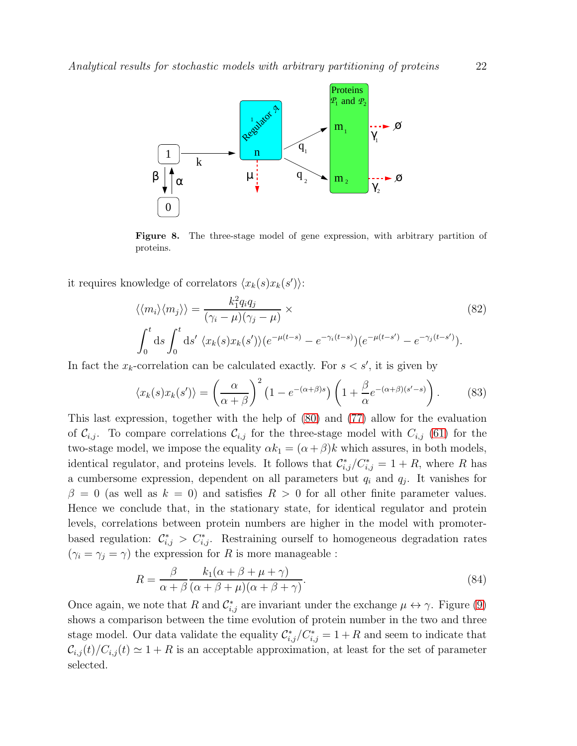

<span id="page-22-0"></span>Figure 8. The three-stage model of gene expression, with arbitrary partition of proteins.

it requires knowledge of correlators  $\langle x_k(s)x_k(s')\rangle$ :

$$
\langle \langle m_i \rangle \langle m_j \rangle \rangle = \frac{k_1^2 q_i q_j}{(\gamma_i - \mu)(\gamma_j - \mu)} \times \qquad (82)
$$
  

$$
\int_0^t \mathrm{d}s \int_0^t \mathrm{d}s' \langle x_k(s) x_k(s') \rangle (e^{-\mu(t-s)} - e^{-\gamma_i(t-s)}) (e^{-\mu(t-s')} - e^{-\gamma_j(t-s')}).
$$

In fact the  $x_k$ -correlation can be calculated exactly. For  $s < s'$ , it is given by

$$
\langle x_k(s)x_k(s')\rangle = \left(\frac{\alpha}{\alpha+\beta}\right)^2 \left(1 - e^{-(\alpha+\beta)s}\right) \left(1 + \frac{\beta}{\alpha}e^{-(\alpha+\beta)(s'-s)}\right). \tag{83}
$$

This last expression, together with the help of [\(80\)](#page-21-0) and [\(77\)](#page-21-1) allow for the evaluation of  $\mathcal{C}_{i,j}$ . To compare correlations  $\mathcal{C}_{i,j}$  for the three-stage model with  $C_{i,j}$  [\(61\)](#page-17-1) for the two-stage model, we impose the equality  $\alpha k_1 = (\alpha + \beta)k$  which assures, in both models, identical regulator, and proteins levels. It follows that  $\mathcal{C}_{i,j}^*/\mathcal{C}_{i,j}^* = 1 + R$ , where R has a cumbersome expression, dependent on all parameters but  $q_i$  and  $q_j$ . It vanishes for  $\beta = 0$  (as well as  $k = 0$ ) and satisfies  $R > 0$  for all other finite parameter values. Hence we conclude that, in the stationary state, for identical regulator and protein levels, correlations between protein numbers are higher in the model with promoterbased regulation:  $\mathcal{C}_{i,j}^* > C_{i,j}^*$ . Restraining ourself to homogeneous degradation rates  $(\gamma_i = \gamma_j = \gamma)$  the expression for R is more manageable :

$$
R = \frac{\beta}{\alpha + \beta} \frac{k_1(\alpha + \beta + \mu + \gamma)}{(\alpha + \beta + \mu)(\alpha + \beta + \gamma)}.
$$
\n(84)

Once again, we note that R and  $\mathcal{C}_{i,j}^*$  are invariant under the exchange  $\mu \leftrightarrow \gamma$ . Figure [\(9\)](#page-23-0) shows a comparison between the time evolution of protein number in the two and three stage model. Our data validate the equality  $\mathcal{C}_{i,j}^*/\mathcal{C}_{i,j}^* = 1 + R$  and seem to indicate that  $\mathcal{C}_{i,j}(t)/\mathcal{C}_{i,j}(t) \simeq 1 + R$  is an acceptable approximation, at least for the set of parameter selected.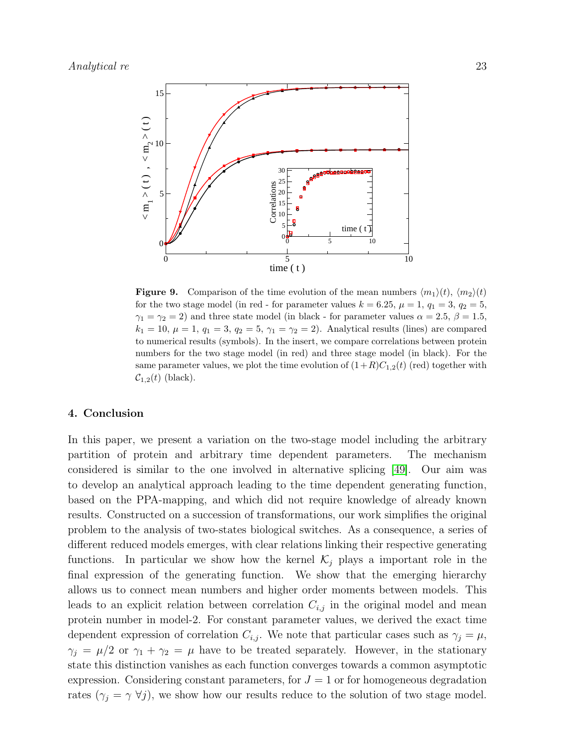

<span id="page-23-0"></span>**Figure 9.** Comparison of the time evolution of the mean numbers  $\langle m_1 \rangle(t)$ ,  $\langle m_2 \rangle(t)$ for the two stage model (in red - for parameter values  $k = 6.25$ ,  $\mu = 1$ ,  $q_1 = 3$ ,  $q_2 = 5$ ,  $\gamma_1 = \gamma_2 = 2$ ) and three state model (in black - for parameter values  $\alpha = 2.5, \beta = 1.5$ ,  $k_1 = 10, \mu = 1, q_1 = 3, q_2 = 5, \gamma_1 = \gamma_2 = 2)$ . Analytical results (lines) are compared to numerical results (symbols). In the insert, we compare correlations between protein numbers for the two stage model (in red) and three stage model (in black). For the same parameter values, we plot the time evolution of  $(1+R)C_{1,2}(t)$  (red) together with  $\mathcal{C}_{1,2}(t)$  (black).

#### 4. Conclusion

In this paper, we present a variation on the two-stage model including the arbitrary partition of protein and arbitrary time dependent parameters. The mechanism considered is similar to the one involved in alternative splicing [\[49\]](#page-30-8). Our aim was to develop an analytical approach leading to the time dependent generating function, based on the PPA-mapping, and which did not require knowledge of already known results. Constructed on a succession of transformations, our work simplifies the original problem to the analysis of two-states biological switches. As a consequence, a series of different reduced models emerges, with clear relations linking their respective generating functions. In particular we show how the kernel  $\mathcal{K}_j$  plays a important role in the final expression of the generating function. We show that the emerging hierarchy allows us to connect mean numbers and higher order moments between models. This leads to an explicit relation between correlation  $C_{i,j}$  in the original model and mean protein number in model-2. For constant parameter values, we derived the exact time dependent expression of correlation  $C_{i,j}$ . We note that particular cases such as  $\gamma_j = \mu$ ,  $\gamma_j = \mu/2$  or  $\gamma_1 + \gamma_2 = \mu$  have to be treated separately. However, in the stationary state this distinction vanishes as each function converges towards a common asymptotic expression. Considering constant parameters, for  $J = 1$  or for homogeneous degradation rates  $(\gamma_j = \gamma \ \forall j)$ , we show how our results reduce to the solution of two stage model.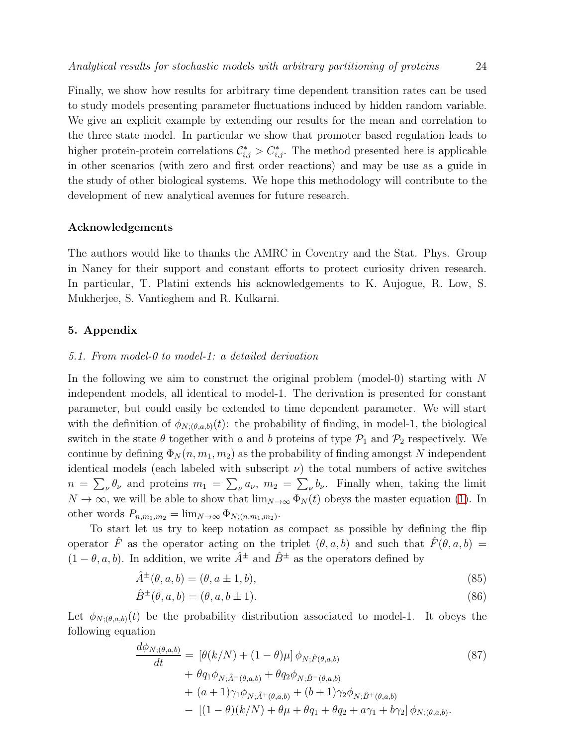Finally, we show how results for arbitrary time dependent transition rates can be used to study models presenting parameter fluctuations induced by hidden random variable. We give an explicit example by extending our results for the mean and correlation to the three state model. In particular we show that promoter based regulation leads to higher protein-protein correlations  $\mathcal{C}_{i,j}^* > \mathcal{C}_{i,j}^*$ . The method presented here is applicable in other scenarios (with zero and first order reactions) and may be use as a guide in the study of other biological systems. We hope this methodology will contribute to the development of new analytical avenues for future research.

#### Acknowledgements

The authors would like to thanks the AMRC in Coventry and the Stat. Phys. Group in Nancy for their support and constant efforts to protect curiosity driven research. In particular, T. Platini extends his acknowledgements to K. Aujogue, R. Low, S. Mukherjee, S. Vantieghem and R. Kulkarni.

#### 5. Appendix

#### *5.1. From model-0 to model-1: a detailed derivation*

In the following we aim to construct the original problem (model-0) starting with N independent models, all identical to model-1. The derivation is presented for constant parameter, but could easily be extended to time dependent parameter. We will start with the definition of  $\phi_{N;(\theta,a,b)}(t)$ : the probability of finding, in model-1, the biological switch in the state  $\theta$  together with a and b proteins of type  $\mathcal{P}_1$  and  $\mathcal{P}_2$  respectively. We continue by defining  $\Phi_N(n, m_1, m_2)$  as the probability of finding amongst N independent identical models (each labeled with subscript  $\nu$ ) the total numbers of active switches  $n = \sum_{\nu} \theta_{\nu}$  and proteins  $m_1 = \sum_{\nu} a_{\nu}$ ,  $m_2 = \sum_{\nu} b_{\nu}$ . Finally when, taking the limit  $N \to \infty$ , we will be able to show that  $\lim_{N \to \infty} \Phi_N(t)$  obeys the master equation [\(1\)](#page-5-1). In other words  $P_{n,m_1,m_2} = \lim_{N \to \infty} \Phi_{N;(n,m_1,m_2)}$ .

To start let us try to keep notation as compact as possible by defining the flip operator  $\hat{F}$  as the operator acting on the triplet  $(\theta, a, b)$  and such that  $\hat{F}(\theta, a, b) =$  $(1 - \theta, a, b)$ . In addition, we write  $\hat{A}^{\pm}$  and  $\hat{B}^{\pm}$  as the operators defined by

$$
\hat{A}^{\pm}(\theta, a, b) = (\theta, a \pm 1, b),\tag{85}
$$

$$
\hat{B}^{\pm}(\theta, a, b) = (\theta, a, b \pm 1). \tag{86}
$$

Let  $\phi_{N;(\theta,a,b)}(t)$  be the probability distribution associated to model-1. It obeys the following equation

$$
\frac{d\phi_{N;(\theta,a,b)}}{dt} = \left[\theta(k/N) + (1-\theta)\mu\right]\phi_{N;\hat{F}(\theta,a,b)}\n+ \theta q_1 \phi_{N;\hat{A}^-(\theta,a,b)} + \theta q_2 \phi_{N;\hat{B}^-(\theta,a,b)}\n+ (a+1)\gamma_1 \phi_{N;\hat{A}^+(\theta,a,b)} + (b+1)\gamma_2 \phi_{N;\hat{B}^+(\theta,a,b)}\n- \left[(1-\theta)(k/N) + \theta\mu + \theta q_1 + \theta q_2 + a\gamma_1 + b\gamma_2\right]\phi_{N;(\theta,a,b)}.
$$
\n(87)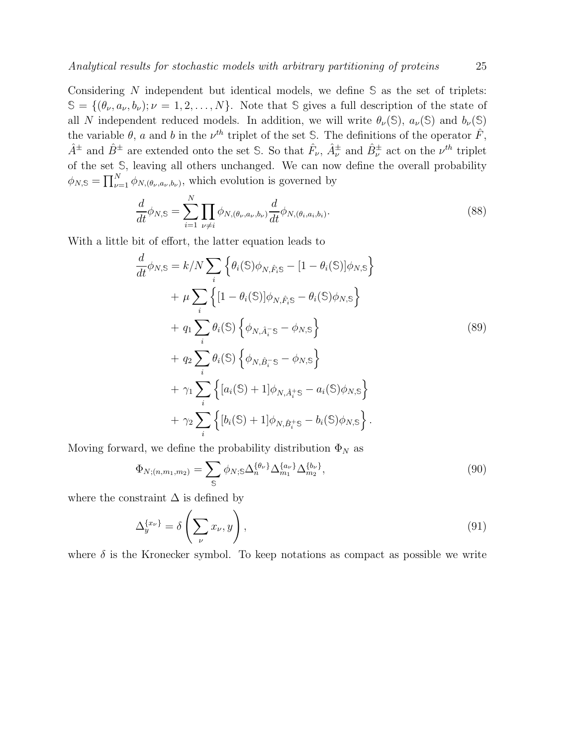Considering N independent but identical models, we define **S** as the set of triplets:  $\mathcal{S} = \{(\theta_{\nu}, a_{\nu}, b_{\nu}); \nu = 1, 2, \ldots, N\}.$  Note that  $\mathcal{S}$  gives a full description of the state of all N independent reduced models. In addition, we will write  $\theta_{\nu}(\mathbb{S})$ ,  $a_{\nu}(\mathbb{S})$  and  $b_{\nu}(\mathbb{S})$ the variable  $\theta$ , a and b in the  $\nu^{th}$  triplet of the set S. The definitions of the operator  $\hat{F}$ ,  $\hat{A}^{\pm}$  and  $\hat{B}^{\pm}$  are extended onto the set S. So that  $\hat{F}_{\nu}$ ,  $\hat{A}^{\pm}_{\nu}$  and  $\hat{B}^{\pm}_{\nu}$  act on the  $\nu^{th}$  triplet of the set **S**, leaving all others unchanged. We can now define the overall probability  $\phi_{N,S} = \prod_{\nu=1}^{N} \phi_{N,(\theta_{\nu},a_{\nu},b_{\nu})}$ , which evolution is governed by

$$
\frac{d}{dt}\phi_{N,S} = \sum_{i=1}^{N} \prod_{\nu \neq i} \phi_{N,(\theta_{\nu},a_{\nu},b_{\nu})} \frac{d}{dt}\phi_{N,(\theta_{i},a_{i},b_{i})}.
$$
\n(88)

With a little bit of effort, the latter equation leads to

$$
\frac{d}{dt}\phi_{N,S} = k/N \sum_{i} \left\{ \theta_{i}(S)\phi_{N,\hat{F}_{i}S} - [1 - \theta_{i}(S)]\phi_{N,S} \right\} \n+ \mu \sum_{i} \left\{ [1 - \theta_{i}(S)]\phi_{N,\hat{F}_{i}S} - \theta_{i}(S)\phi_{N,S} \right\} \n+ q_{1} \sum_{i} \theta_{i}(S) \left\{ \phi_{N,\hat{A}_{i}^{-}S} - \phi_{N,S} \right\} \n+ q_{2} \sum_{i} \theta_{i}(S) \left\{ \phi_{N,\hat{B}_{i}^{-}S} - \phi_{N,S} \right\} \n+ \gamma_{1} \sum_{i} \left\{ [a_{i}(S) + 1] \phi_{N,\hat{A}_{i}^{+}S} - a_{i}(S)\phi_{N,S} \right\} \n+ \gamma_{2} \sum_{i} \left\{ [b_{i}(S) + 1] \phi_{N,\hat{B}_{i}^{+}S} - b_{i}(S)\phi_{N,S} \right\}.
$$
\n
$$
(89)
$$

Moving forward, we define the probability distribution  $\Phi_N$  as

$$
\Phi_{N;(n,m_1,m_2)} = \sum_{\mathbb{S}} \phi_{N;\mathbb{S}} \Delta_n^{\{\theta_\nu\}} \Delta_{m_1}^{\{a_\nu\}} \Delta_{m_2}^{\{b_\nu\}},\tag{90}
$$

where the constraint  $\Delta$  is defined by

$$
\Delta_y^{\{x_\nu\}} = \delta\left(\sum_\nu x_\nu, y\right),\tag{91}
$$

where  $\delta$  is the Kronecker symbol. To keep notations as compact as possible we write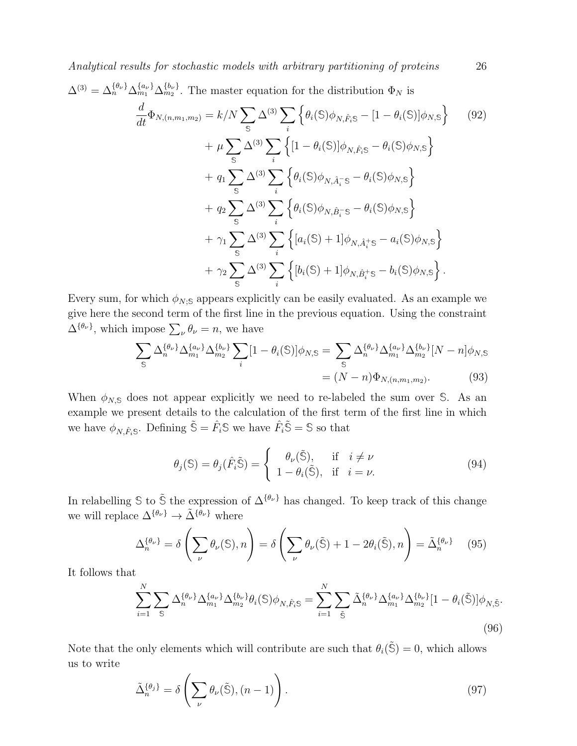$$
\Delta^{(3)} = \Delta_n^{\{\theta_{\nu}\}} \Delta_{m_1}^{\{a_{\nu}\}} \Delta_{m_2}^{\{b_{\nu}\}}.
$$
 The master equation for the distribution  $\Phi_N$  is  
\n
$$
\frac{d}{dt} \Phi_{N,(n,m_1,m_2)} = k/N \sum_{\mathbb{S}} \Delta^{(3)} \sum_{i} \left\{ \theta_i(\mathbb{S}) \phi_{N,\hat{F}_i\mathbb{S}} - [1 - \theta_i(\mathbb{S})] \phi_{N,\mathbb{S}} \right\} \qquad (92)
$$
\n
$$
+ \mu \sum_{\mathbb{S}} \Delta^{(3)} \sum_{i} \left\{ [1 - \theta_i(\mathbb{S})] \phi_{N,\hat{F}_i\mathbb{S}} - \theta_i(\mathbb{S}) \phi_{N,\mathbb{S}} \right\}
$$
\n
$$
+ q_1 \sum_{\mathbb{S}} \Delta^{(3)} \sum_{i} \left\{ \theta_i(\mathbb{S}) \phi_{N,\hat{A}_i^-\mathbb{S}} - \theta_i(\mathbb{S}) \phi_{N,\mathbb{S}} \right\}
$$
\n
$$
+ q_2 \sum_{\mathbb{S}} \Delta^{(3)} \sum_{i} \left\{ \theta_i(\mathbb{S}) \phi_{N,\hat{B}_i^-\mathbb{S}} - \theta_i(\mathbb{S}) \phi_{N,\mathbb{S}} \right\}
$$
\n
$$
+ \gamma_1 \sum_{\mathbb{S}} \Delta^{(3)} \sum_{i} \left\{ [a_i(\mathbb{S}) + 1] \phi_{N,\hat{A}_i^+\mathbb{S}} - a_i(\mathbb{S}) \phi_{N,\mathbb{S}} \right\}
$$
\n
$$
+ \gamma_2 \sum_{\mathbb{S}} \Delta^{(3)} \sum_{i} \left\{ [b_i(\mathbb{S}) + 1] \phi_{N,\hat{B}_i^+\mathbb{S}} - b_i(\mathbb{S}) \phi_{N,\mathbb{S}} \right\}.
$$
\n(92)

Every sum, for which  $\phi_{N;\mathbb{S}}$  appears explicitly can be easily evaluated. As an example we give here the second term of the first line in the previous equation. Using the constraint  $\Delta^{\{\theta_{\nu}\}}$ , which impose  $\sum_{\nu} \theta_{\nu} = n$ , we have

$$
\sum_{S} \Delta_n^{\{\theta_\nu\}} \Delta_{m_1}^{\{a_\nu\}} \Delta_{m_2}^{\{b_\nu\}} \sum_i [1 - \theta_i(S)] \phi_{N,S} = \sum_{S} \Delta_n^{\{\theta_\nu\}} \Delta_{m_1}^{\{a_\nu\}} \Delta_{m_2}^{\{b_\nu\}} [N - n] \phi_{N,S}
$$

$$
= (N - n) \Phi_{N,(n,m_1,m_2)}.
$$
(93)

When  $\phi_{N,S}$  does not appear explicitly we need to re-labeled the sum over S. As an example we present details to the calculation of the first term of the first line in which we have  $\phi_{N,\hat{F}_i\mathbb{S}}$ . Defining  $\tilde{\mathbb{S}} = \hat{F}_i\mathbb{S}$  we have  $\hat{F}_i\tilde{\mathbb{S}} = \mathbb{S}$  so that

$$
\theta_j(\mathbb{S}) = \theta_j(\hat{F}_i \tilde{\mathbb{S}}) = \begin{cases} \theta_\nu(\tilde{\mathbb{S}}), & \text{if } i \neq \nu \\ 1 - \theta_i(\tilde{\mathbb{S}}), & \text{if } i = \nu. \end{cases}
$$
(94)

In relabelling S to  $\tilde{S}$  the expression of  $\Delta^{\{\theta_{\nu}\}}$  has changed. To keep track of this change we will replace  $\Delta^{\{\theta_\nu\}} \to \tilde{\Delta}^{\{\hat{\theta}_\nu\}}$  where

$$
\Delta_n^{\{\theta_\nu\}} = \delta \left( \sum_{\nu} \theta_\nu(\mathbb{S}), n \right) = \delta \left( \sum_{\nu} \theta_\nu(\tilde{\mathbb{S}}) + 1 - 2\theta_i(\tilde{\mathbb{S}}), n \right) = \tilde{\Delta}_n^{\{\theta_\nu\}} \tag{95}
$$

It follows that

$$
\sum_{i=1}^{N} \sum_{\mathbb{S}} \Delta_n^{\{\theta_{\nu}\}} \Delta_{m_1}^{\{a_{\nu}\}} \Delta_{m_2}^{\{b_{\nu}\}} \theta_i(\mathbb{S}) \phi_{N, \hat{F}_i \mathbb{S}} = \sum_{i=1}^{N} \sum_{\tilde{\mathbb{S}}} \tilde{\Delta}_n^{\{\theta_{\nu}\}} \Delta_{m_1}^{\{a_{\nu}\}} \Delta_{m_2}^{\{b_{\nu}\}} [1 - \theta_i(\tilde{\mathbb{S}})] \phi_{N, \tilde{\mathbb{S}}}.
$$
\n(96)

Note that the only elements which will contribute are such that  $\theta_i(\tilde{S}) = 0$ , which allows us to write

$$
\tilde{\Delta}_n^{\{\theta_j\}} = \delta \left( \sum_{\nu} \theta_{\nu}(\tilde{\mathbb{S}}), (n-1) \right). \tag{97}
$$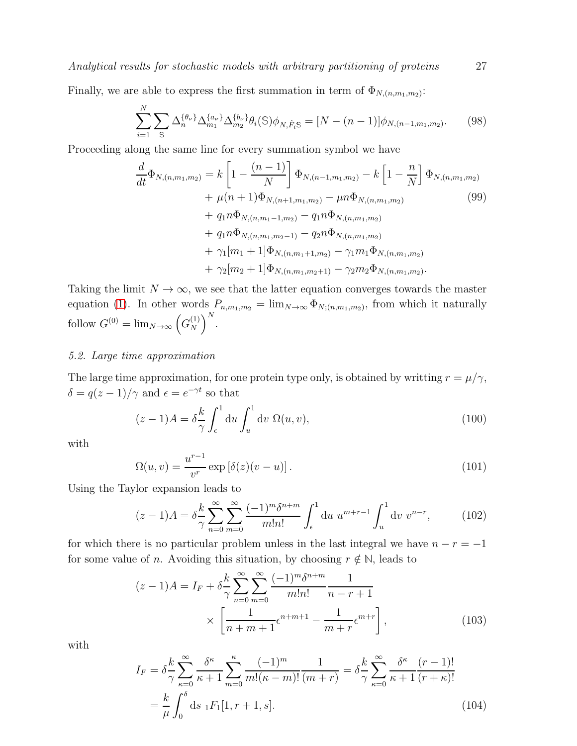Finally, we are able to express the first summation in term of  $\Phi_{N,(n,m_1,m_2)}$ :

$$
\sum_{i=1}^{N} \sum_{\mathbb{S}} \Delta_n^{\{\theta_{\nu}\}} \Delta_{m_1}^{\{a_{\nu}\}} \Delta_{m_2}^{\{b_{\nu}\}} \theta_i(\mathbb{S}) \phi_{N, \hat{F}_i \mathbb{S}} = [N - (n-1)] \phi_{N, (n-1, m_1, m_2)}.
$$
 (98)

Proceeding along the same line for every summation symbol we have

$$
\frac{d}{dt}\Phi_{N,(n,m_1,m_2)} = k \left[1 - \frac{(n-1)}{N}\right] \Phi_{N,(n-1,m_1,m_2)} - k \left[1 - \frac{n}{N}\right] \Phi_{N,(n,m_1,m_2)} \n+ \mu(n+1)\Phi_{N,(n+1,m_1,m_2)} - \mu n \Phi_{N,(n,m_1,m_2)} \n+ q_1 n \Phi_{N,(n,m_1-1,m_2)} - q_1 n \Phi_{N,(n,m_1,m_2)} \n+ q_1 n \Phi_{N,(n,m_1,m_2-1)} - q_2 n \Phi_{N,(n,m_1,m_2)} \n+ \gamma_1[m_1+1] \Phi_{N,(n,m_1+1,m_2)} - \gamma_1 m_1 \Phi_{N,(n,m_1,m_2)} \n+ \gamma_2[m_2+1] \Phi_{N,(n,m_1,m_2+1)} - \gamma_2 m_2 \Phi_{N,(n,m_1,m_2)}.
$$
\n(99)

Taking the limit  $N \to \infty$ , we see that the latter equation converges towards the master equation [\(1\)](#page-5-1). In other words  $P_{n,m_1,m_2} = \lim_{N \to \infty} \Phi_{N;(n,m_1,m_2)}$ , from which it naturally follow  $G^{(0)} = \lim_{N \to \infty} \left( G_N^{(1)} \right)$  $\binom{1}{N}$ <sup>N</sup>.

#### *5.2. Large time approximation*

The large time approximation, for one protein type only, is obtained by writting  $r = \mu/\gamma$ ,  $\delta = q(z-1)/\gamma$  and  $\epsilon = e^{-\gamma t}$  so that

$$
(z-1)A = \delta \frac{k}{\gamma} \int_{\epsilon}^{1} du \int_{u}^{1} dv \ \Omega(u,v), \tag{100}
$$

with

$$
\Omega(u,v) = \frac{u^{r-1}}{v^r} \exp\left[\delta(z)(v-u)\right].\tag{101}
$$

Using the Taylor expansion leads to

<span id="page-27-0"></span>
$$
(z-1)A = \delta \frac{k}{\gamma} \sum_{n=0}^{\infty} \sum_{m=0}^{\infty} \frac{(-1)^m \delta^{n+m}}{m!n!} \int_{\epsilon}^1 du \ u^{m+r-1} \int_u^1 dv \ v^{n-r}, \qquad (102)
$$

for which there is no particular problem unless in the last integral we have  $n - r = -1$ for some value of *n*. Avoiding this situation, by choosing  $r \notin \mathbb{N}$ , leads to

$$
(z-1)A = I_F + \delta \frac{k}{\gamma} \sum_{n=0}^{\infty} \sum_{m=0}^{\infty} \frac{(-1)^m \delta^{n+m}}{m!n!} \frac{1}{n-r+1}
$$

$$
\times \left[ \frac{1}{n+m+1} \epsilon^{n+m+1} - \frac{1}{m+r} \epsilon^{m+r} \right],
$$
(103)

with

$$
I_F = \delta \frac{k}{\gamma} \sum_{\kappa=0}^{\infty} \frac{\delta^{\kappa}}{\kappa+1} \sum_{m=0}^{\kappa} \frac{(-1)^m}{m!(\kappa-m)!} \frac{1}{(m+r)} = \delta \frac{k}{\gamma} \sum_{\kappa=0}^{\infty} \frac{\delta^{\kappa}}{\kappa+1} \frac{(r-1)!}{(r+\kappa)!}
$$
  
=  $\frac{k}{\mu} \int_0^{\delta} ds \, {}_1F_1[1, r+1, s].$  (104)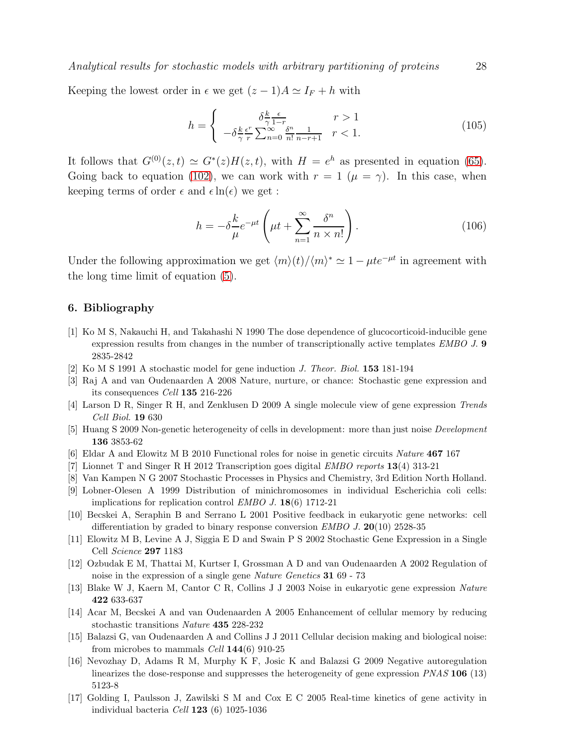Keeping the lowest order in  $\epsilon$  we get  $(z - 1)A \simeq I_F + h$  with

$$
h = \begin{cases} \n\delta \frac{k}{\gamma} \frac{\epsilon}{1-r} & r > 1 \\
-\delta \frac{k}{\gamma} \frac{\epsilon^r}{r} \sum_{n=0}^{\infty} \frac{\delta^n}{n!} \frac{1}{n-r+1} & r < 1.\n\end{cases} \tag{105}
$$

It follows that  $G^{(0)}(z,t) \simeq G^*(z)H(z,t)$ , with  $H = e^h$  as presented in equation [\(65\)](#page-18-1). Going back to equation [\(102\)](#page-27-0), we can work with  $r = 1$  ( $\mu = \gamma$ ). In this case, when keeping terms of order  $\epsilon$  and  $\epsilon \ln(\epsilon)$  we get :

$$
h = -\delta \frac{k}{\mu} e^{-\mu t} \left( \mu t + \sum_{n=1}^{\infty} \frac{\delta^n}{n \times n!} \right).
$$
 (106)

Under the following approximation we get  $\langle m \rangle(t)/\langle m \rangle^* \simeq 1 - \mu t e^{-\mu t}$  in agreement with the long time limit of equation [\(5\)](#page-6-3).

#### <span id="page-28-0"></span>6. Bibliography

- [1] Ko M S, Nakauchi H, and Takahashi N 1990 The dose dependence of glucocorticoid-inducible gene expression results from changes in the number of transcriptionally active templates EMBO J. 9 2835-2842
- <span id="page-28-2"></span><span id="page-28-1"></span>[2] Ko M S 1991 A stochastic model for gene induction J. Theor. Biol. 153 181-194
- <span id="page-28-3"></span>[3] Raj A and van Oudenaarden A 2008 Nature, nurture, or chance: Stochastic gene expression and its consequences Cell 135 216-226
- <span id="page-28-4"></span>[4] Larson D R, Singer R H, and Zenklusen D 2009 A single molecule view of gene expression Trends Cell Biol. 19 630
- <span id="page-28-5"></span>[5] Huang S 2009 Non-genetic heterogeneity of cells in development: more than just noise Development 136 3853-62
- <span id="page-28-6"></span>[6] Eldar A and Elowitz M B 2010 Functional roles for noise in genetic circuits Nature 467 167
- <span id="page-28-7"></span>[7] Lionnet T and Singer R H 2012 Transcription goes digital EMBO reports 13(4) 313-21
- <span id="page-28-8"></span>[8] Van Kampen N G 2007 Stochastic Processes in Physics and Chemistry, 3rd Edition North Holland.
- <span id="page-28-9"></span>[9] Lobner-Olesen A 1999 Distribution of minichromosomes in individual Escherichia coli cells: implications for replication control EMBO J. 18(6) 1712-21
- [10] Becskei A, Seraphin B and Serrano L 2001 Positive feedback in eukaryotic gene networks: cell differentiation by graded to binary response conversion  $EMBO$  J. 20(10) 2528-35
- <span id="page-28-11"></span><span id="page-28-10"></span>[11] Elowitz M B, Levine A J, Siggia E D and Swain P S 2002 Stochastic Gene Expression in a Single Cell Science 297 1183
- [12] Ozbudak E M, Thattai M, Kurtser I, Grossman A D and van Oudenaarden A 2002 Regulation of noise in the expression of a single gene Nature Genetics 31 69 - 73
- <span id="page-28-13"></span><span id="page-28-12"></span>[13] Blake W J, Kaern M, Cantor C R, Collins J J 2003 Noise in eukaryotic gene expression Nature 422 633-637
- <span id="page-28-14"></span>[14] Acar M, Becskei A and van Oudenaarden A 2005 Enhancement of cellular memory by reducing stochastic transitions Nature 435 228-232
- [15] Balazsi G, van Oudenaarden A and Collins J J 2011 Cellular decision making and biological noise: from microbes to mammals Cell  $144(6)$  910-25
- <span id="page-28-15"></span>[16] Nevozhay D, Adams R M, Murphy K F, Josic K and Balazsi G 2009 Negative autoregulation linearizes the dose-response and suppresses the heterogeneity of gene expression PNAS 106 (13) 5123-8
- <span id="page-28-16"></span>[17] Golding I, Paulsson J, Zawilski S M and Cox E C 2005 Real-time kinetics of gene activity in individual bacteria Cell 123 (6) 1025-1036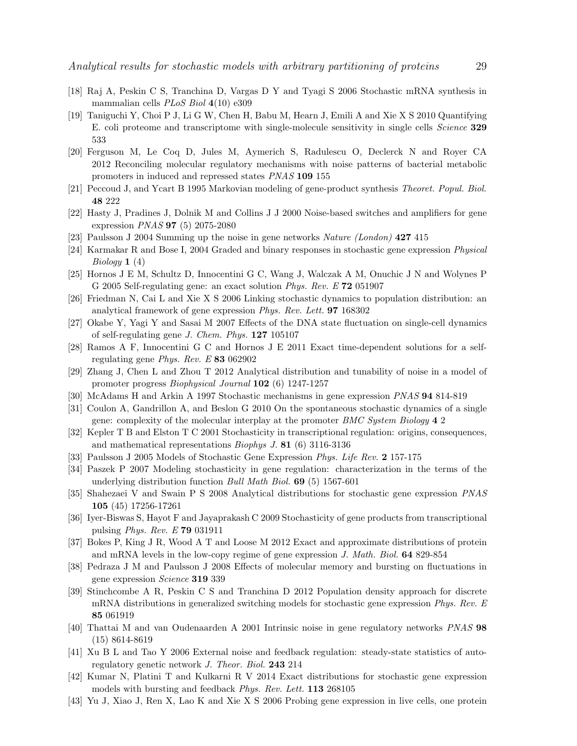- <span id="page-29-1"></span><span id="page-29-0"></span>[18] Raj A, Peskin C S, Tranchina D, Vargas D Y and Tyagi S 2006 Stochastic mRNA synthesis in mammalian cells PLoS Biol 4(10) e309
- [19] Taniguchi Y, Choi P J, Li G W, Chen H, Babu M, Hearn J, Emili A and Xie X S 2010 Quantifying E. coli proteome and transcriptome with single-molecule sensitivity in single cells Science 329 533
- <span id="page-29-2"></span>[20] Ferguson M, Le Coq D, Jules M, Aymerich S, Radulescu O, Declerck N and Royer CA 2012 Reconciling molecular regulatory mechanisms with noise patterns of bacterial metabolic promoters in induced and repressed states PNAS 109 155
- <span id="page-29-4"></span><span id="page-29-3"></span>[21] Peccoud J, and Ycart B 1995 Markovian modeling of gene-product synthesis Theoret. Popul. Biol. 48 222
- <span id="page-29-5"></span>[22] Hasty J, Pradines J, Dolnik M and Collins J J 2000 Noise-based switches and amplifiers for gene expression PNAS 97 (5) 2075-2080
- <span id="page-29-6"></span>[23] Paulsson J 2004 Summing up the noise in gene networks Nature (London) 427 415
- <span id="page-29-7"></span>[24] Karmakar R and Bose I, 2004 Graded and binary responses in stochastic gene expression Physical *Biology*  $1(4)$
- <span id="page-29-8"></span>[25] Hornos J E M, Schultz D, Innocentini G C, Wang J, Walczak A M, Onuchic J N and Wolynes P G 2005 Self-regulating gene: an exact solution Phys. Rev. E 72 051907
- <span id="page-29-9"></span>[26] Friedman N, Cai L and Xie X S 2006 Linking stochastic dynamics to population distribution: an analytical framework of gene expression Phys. Rev. Lett. 97 168302
- <span id="page-29-10"></span>[27] Okabe Y, Yagi Y and Sasai M 2007 Effects of the DNA state fluctuation on single-cell dynamics of self-regulating gene J. Chem. Phys. 127 105107
- <span id="page-29-11"></span>[28] Ramos A F, Innocentini G C and Hornos J E 2011 Exact time-dependent solutions for a selfregulating gene Phys. Rev. E 83 062902
- [29] Zhang J, Chen L and Zhou T 2012 Analytical distribution and tunability of noise in a model of promoter progress Biophysical Journal 102 (6) 1247-1257
- <span id="page-29-13"></span><span id="page-29-12"></span>[30] McAdams H and Arkin A 1997 Stochastic mechanisms in gene expression PNAS 94 814-819
- <span id="page-29-14"></span>[31] Coulon A, Gandrillon A, and Beslon G 2010 On the spontaneous stochastic dynamics of a single gene: complexity of the molecular interplay at the promoter BMC System Biology 4 2
- <span id="page-29-15"></span>[32] Kepler T B and Elston T C 2001 Stochasticity in transcriptional regulation: origins, consequences, and mathematical representations Biophys J. 81 (6) 3116-3136
- <span id="page-29-16"></span>[33] Paulsson J 2005 Models of Stochastic Gene Expression Phys. Life Rev. 2 157-175
- [34] Paszek P 2007 Modeling stochasticity in gene regulation: characterization in the terms of the underlying distribution function Bull Math Biol. 69 (5) 1567-601
- <span id="page-29-17"></span>[35] Shahezaei V and Swain P S 2008 Analytical distributions for stochastic gene expression PNAS 105 (45) 17256-17261
- <span id="page-29-19"></span><span id="page-29-18"></span>[36] Iyer-Biswas S, Hayot F and Jayaprakash C 2009 Stochasticity of gene products from transcriptional pulsing Phys. Rev. E 79 031911
- [37] Bokes P, King J R, Wood A T and Loose M 2012 Exact and approximate distributions of protein and mRNA levels in the low-copy regime of gene expression J. Math. Biol. 64 829-854
- <span id="page-29-20"></span>[38] Pedraza J M and Paulsson J 2008 Effects of molecular memory and bursting on fluctuations in gene expression Science 319 339
- <span id="page-29-21"></span>[39] Stinchcombe A R, Peskin C S and Tranchina D 2012 Population density approach for discrete mRNA distributions in generalized switching models for stochastic gene expression Phys. Rev. E 85 061919
- <span id="page-29-23"></span><span id="page-29-22"></span>[40] Thattai M and van Oudenaarden A 2001 Intrinsic noise in gene regulatory networks PNAS 98 (15) 8614-8619
- [41] Xu B L and Tao Y 2006 External noise and feedback regulation: steady-state statistics of autoregulatory genetic network J. Theor. Biol. 243 214
- <span id="page-29-24"></span>[42] Kumar N, Platini T and Kulkarni R V 2014 Exact distributions for stochastic gene expression models with bursting and feedback Phys. Rev. Lett. 113 268105
- <span id="page-29-25"></span>[43] Yu J, Xiao J, Ren X, Lao K and Xie X S 2006 Probing gene expression in live cells, one protein